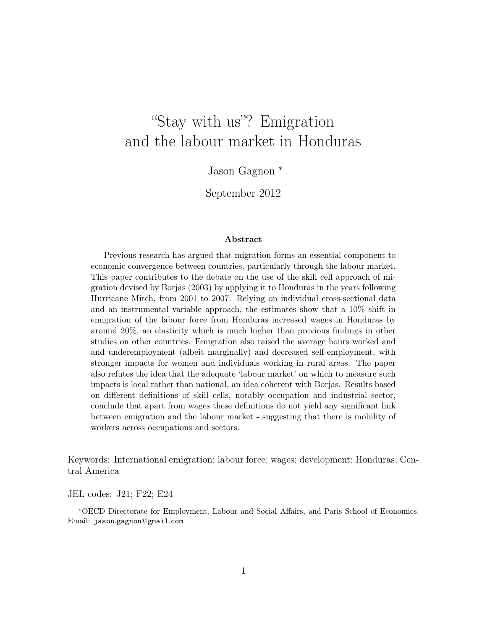# "Stay with us"? Emigration and the labour market in Honduras

Jason Gagnon <sup>∗</sup>

September 2012

#### Abstract

Previous research has argued that migration forms an essential component to economic convergence between countries, particularly through the labour market. This paper contributes to the debate on the use of the skill cell approach of migration devised by Borjas (2003) by applying it to Honduras in the years following Hurricane Mitch, from 2001 to 2007. Relying on individual cross-sectional data and an instrumental variable approach, the estimates show that a 10% shift in emigration of the labour force from Honduras increased wages in Honduras by around 20%, an elasticity which is much higher than previous findings in other studies on other countries. Emigration also raised the average hours worked and and underemployment (albeit marginally) and decreased self-employment, with stronger impacts for women and individuals working in rural areas. The paper also refutes the idea that the adequate 'labour market' on which to measure such impacts is local rather than national, an idea coherent with Borjas. Results based on different definitions of skill cells, notably occupation and industrial sector, conclude that apart from wages these definitions do not yield any significant link between emigration and the labour market - suggesting that there is mobility of workers across occupations and sectors.

Keywords: International emigration; labour force; wages; development; Honduras; Central America

JEL codes: J21; F22; E24

<sup>∗</sup>OECD Directorate for Employment, Labour and Social Affairs, and Paris School of Economics. Email: jason.gagnon@gmail.com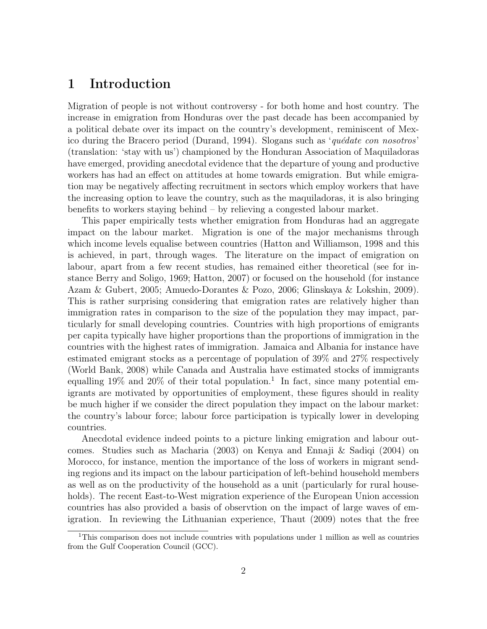## 1 Introduction

Migration of people is not without controversy - for both home and host country. The increase in emigration from Honduras over the past decade has been accompanied by a political debate over its impact on the country's development, reminiscent of Mexico during the Bracero period (Durand, 1994). Slogans such as 'quédate con nosotros' (translation: 'stay with us') championed by the Honduran Association of Maquiladoras have emerged, providing anecdotal evidence that the departure of young and productive workers has had an effect on attitudes at home towards emigration. But while emigration may be negatively affecting recruitment in sectors which employ workers that have the increasing option to leave the country, such as the maquiladoras, it is also bringing benefits to workers staying behind – by relieving a congested labour market.

This paper empirically tests whether emigration from Honduras had an aggregate impact on the labour market. Migration is one of the major mechanisms through which income levels equalise between countries (Hatton and Williamson, 1998 and this is achieved, in part, through wages. The literature on the impact of emigration on labour, apart from a few recent studies, has remained either theoretical (see for instance Berry and Soligo, 1969; Hatton, 2007) or focused on the household (for instance Azam & Gubert, 2005; Amuedo-Dorantes & Pozo, 2006; Glinskaya & Lokshin, 2009). This is rather surprising considering that emigration rates are relatively higher than immigration rates in comparison to the size of the population they may impact, particularly for small developing countries. Countries with high proportions of emigrants per capita typically have higher proportions than the proportions of immigration in the countries with the highest rates of immigration. Jamaica and Albania for instance have estimated emigrant stocks as a percentage of population of 39% and 27% respectively (World Bank, 2008) while Canada and Australia have estimated stocks of immigrants equalling 19% and 20% of their total population.<sup>1</sup> In fact, since many potential emigrants are motivated by opportunities of employment, these figures should in reality be much higher if we consider the direct population they impact on the labour market: the country's labour force; labour force participation is typically lower in developing countries.

Anecdotal evidence indeed points to a picture linking emigration and labour outcomes. Studies such as Macharia (2003) on Kenya and Ennaji & Sadiqi (2004) on Morocco, for instance, mention the importance of the loss of workers in migrant sending regions and its impact on the labour participation of left-behind household members as well as on the productivity of the household as a unit (particularly for rural households). The recent East-to-West migration experience of the European Union accession countries has also provided a basis of observtion on the impact of large waves of emigration. In reviewing the Lithuanian experience, Thaut (2009) notes that the free

<sup>&</sup>lt;sup>1</sup>This comparison does not include countries with populations under 1 million as well as countries from the Gulf Cooperation Council (GCC).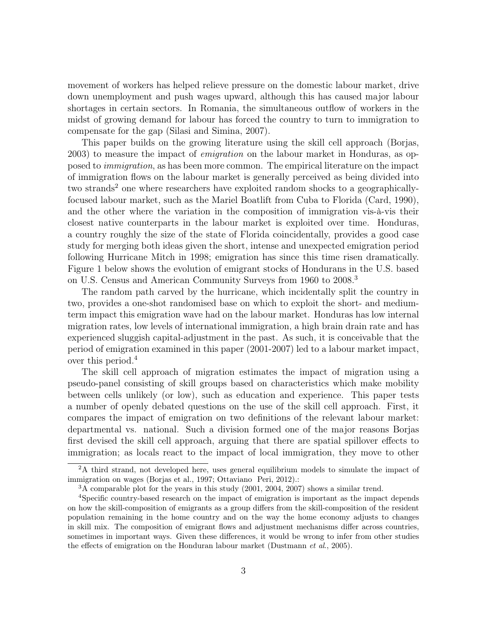movement of workers has helped relieve pressure on the domestic labour market, drive down unemployment and push wages upward, although this has caused major labour shortages in certain sectors. In Romania, the simultaneous outflow of workers in the midst of growing demand for labour has forced the country to turn to immigration to compensate for the gap (Silasi and Simina, 2007).

This paper builds on the growing literature using the skill cell approach (Borjas, 2003) to measure the impact of emigration on the labour market in Honduras, as opposed to immigration, as has been more common. The empirical literature on the impact of immigration flows on the labour market is generally perceived as being divided into two strands<sup>2</sup> one where researchers have exploited random shocks to a geographicallyfocused labour market, such as the Mariel Boatlift from Cuba to Florida (Card, 1990), and the other where the variation in the composition of immigration vis-à-vis their closest native counterparts in the labour market is exploited over time. Honduras, a country roughly the size of the state of Florida coincidentally, provides a good case study for merging both ideas given the short, intense and unexpected emigration period following Hurricane Mitch in 1998; emigration has since this time risen dramatically. Figure 1 below shows the evolution of emigrant stocks of Hondurans in the U.S. based on U.S. Census and American Community Surveys from 1960 to 2008.<sup>3</sup>

The random path carved by the hurricane, which incidentally split the country in two, provides a one-shot randomised base on which to exploit the short- and mediumterm impact this emigration wave had on the labour market. Honduras has low internal migration rates, low levels of international immigration, a high brain drain rate and has experienced sluggish capital-adjustment in the past. As such, it is conceivable that the period of emigration examined in this paper (2001-2007) led to a labour market impact, over this period.<sup>4</sup>

The skill cell approach of migration estimates the impact of migration using a pseudo-panel consisting of skill groups based on characteristics which make mobility between cells unlikely (or low), such as education and experience. This paper tests a number of openly debated questions on the use of the skill cell approach. First, it compares the impact of emigration on two definitions of the relevant labour market: departmental vs. national. Such a division formed one of the major reasons Borjas first devised the skill cell approach, arguing that there are spatial spillover effects to immigration; as locals react to the impact of local immigration, they move to other

<sup>&</sup>lt;sup>2</sup>A third strand, not developed here, uses general equilibrium models to simulate the impact of immigration on wages (Borjas et al., 1997; Ottaviano Peri, 2012).:

<sup>3</sup>A comparable plot for the years in this study (2001, 2004, 2007) shows a similar trend.

<sup>4</sup>Specific country-based research on the impact of emigration is important as the impact depends on how the skill-composition of emigrants as a group differs from the skill-composition of the resident population remaining in the home country and on the way the home economy adjusts to changes in skill mix. The composition of emigrant flows and adjustment mechanisms differ across countries, sometimes in important ways. Given these differences, it would be wrong to infer from other studies the effects of emigration on the Honduran labour market (Dustmann et al., 2005).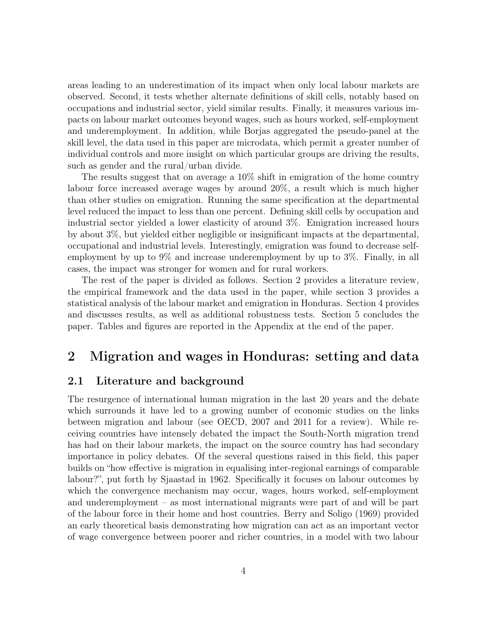areas leading to an underestimation of its impact when only local labour markets are observed. Second, it tests whether alternate definitions of skill cells, notably based on occupations and industrial sector, yield similar results. Finally, it measures various impacts on labour market outcomes beyond wages, such as hours worked, self-employment and underemployment. In addition, while Borjas aggregated the pseudo-panel at the skill level, the data used in this paper are microdata, which permit a greater number of individual controls and more insight on which particular groups are driving the results, such as gender and the rural/urban divide.

The results suggest that on average a 10% shift in emigration of the home country labour force increased average wages by around 20%, a result which is much higher than other studies on emigration. Running the same specification at the departmental level reduced the impact to less than one percent. Defining skill cells by occupation and industrial sector yielded a lower elasticity of around 3%. Emigration increased hours by about 3%, but yielded either negligible or insignificant impacts at the departmental, occupational and industrial levels. Interestingly, emigration was found to decrease selfemployment by up to 9% and increase underemployment by up to 3%. Finally, in all cases, the impact was stronger for women and for rural workers.

The rest of the paper is divided as follows. Section 2 provides a literature review, the empirical framework and the data used in the paper, while section 3 provides a statistical analysis of the labour market and emigration in Honduras. Section 4 provides and discusses results, as well as additional robustness tests. Section 5 concludes the paper. Tables and figures are reported in the Appendix at the end of the paper.

### 2 Migration and wages in Honduras: setting and data

#### 2.1 Literature and background

The resurgence of international human migration in the last 20 years and the debate which surrounds it have led to a growing number of economic studies on the links between migration and labour (see OECD, 2007 and 2011 for a review). While receiving countries have intensely debated the impact the South-North migration trend has had on their labour markets, the impact on the source country has had secondary importance in policy debates. Of the several questions raised in this field, this paper builds on "how effective is migration in equalising inter-regional earnings of comparable labour?", put forth by Sjaastad in 1962. Specifically it focuses on labour outcomes by which the convergence mechanism may occur, wages, hours worked, self-employment and underemployment – as most international migrants were part of and will be part of the labour force in their home and host countries. Berry and Soligo (1969) provided an early theoretical basis demonstrating how migration can act as an important vector of wage convergence between poorer and richer countries, in a model with two labour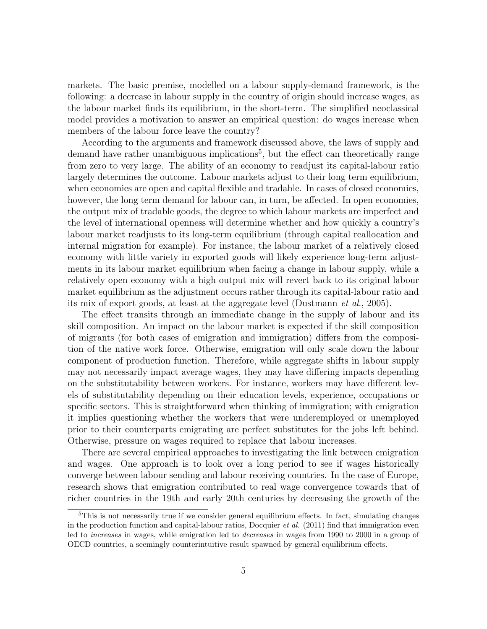markets. The basic premise, modelled on a labour supply-demand framework, is the following: a decrease in labour supply in the country of origin should increase wages, as the labour market finds its equilibrium, in the short-term. The simplified neoclassical model provides a motivation to answer an empirical question: do wages increase when members of the labour force leave the country?

According to the arguments and framework discussed above, the laws of supply and demand have rather unambiguous implications<sup>5</sup>, but the effect can theoretically range from zero to very large. The ability of an economy to readjust its capital-labour ratio largely determines the outcome. Labour markets adjust to their long term equilibrium, when economies are open and capital flexible and tradable. In cases of closed economies, however, the long term demand for labour can, in turn, be affected. In open economies, the output mix of tradable goods, the degree to which labour markets are imperfect and the level of international openness will determine whether and how quickly a country's labour market readjusts to its long-term equilibrium (through capital reallocation and internal migration for example). For instance, the labour market of a relatively closed economy with little variety in exported goods will likely experience long-term adjustments in its labour market equilibrium when facing a change in labour supply, while a relatively open economy with a high output mix will revert back to its original labour market equilibrium as the adjustment occurs rather through its capital-labour ratio and its mix of export goods, at least at the aggregate level (Dustmann et al., 2005).

The effect transits through an immediate change in the supply of labour and its skill composition. An impact on the labour market is expected if the skill composition of migrants (for both cases of emigration and immigration) differs from the composition of the native work force. Otherwise, emigration will only scale down the labour component of production function. Therefore, while aggregate shifts in labour supply may not necessarily impact average wages, they may have differing impacts depending on the substitutability between workers. For instance, workers may have different levels of substitutability depending on their education levels, experience, occupations or specific sectors. This is straightforward when thinking of immigration; with emigration it implies questioning whether the workers that were underemployed or unemployed prior to their counterparts emigrating are perfect substitutes for the jobs left behind. Otherwise, pressure on wages required to replace that labour increases.

There are several empirical approaches to investigating the link between emigration and wages. One approach is to look over a long period to see if wages historically converge between labour sending and labour receiving countries. In the case of Europe, research shows that emigration contributed to real wage convergence towards that of richer countries in the 19th and early 20th centuries by decreasing the growth of the

<sup>&</sup>lt;sup>5</sup>This is not necessarily true if we consider general equilibrium effects. In fact, simulating changes in the production function and capital-labour ratios, Docquier *et al.* (2011) find that immigration even led to increases in wages, while emigration led to decreases in wages from 1990 to 2000 in a group of OECD countries, a seemingly counterintuitive result spawned by general equilibrium effects.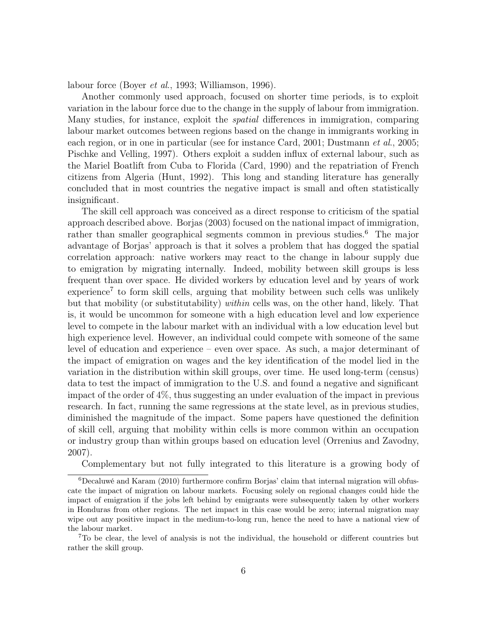labour force (Boyer et al., 1993; Williamson, 1996).

Another commonly used approach, focused on shorter time periods, is to exploit variation in the labour force due to the change in the supply of labour from immigration. Many studies, for instance, exploit the spatial differences in immigration, comparing labour market outcomes between regions based on the change in immigrants working in each region, or in one in particular (see for instance Card, 2001; Dustmann *et al.*, 2005; Pischke and Velling, 1997). Others exploit a sudden influx of external labour, such as the Mariel Boatlift from Cuba to Florida (Card, 1990) and the repatriation of French citizens from Algeria (Hunt, 1992). This long and standing literature has generally concluded that in most countries the negative impact is small and often statistically insignificant.

The skill cell approach was conceived as a direct response to criticism of the spatial approach described above. Borjas (2003) focused on the national impact of immigration, rather than smaller geographical segments common in previous studies.<sup>6</sup> The major advantage of Borjas' approach is that it solves a problem that has dogged the spatial correlation approach: native workers may react to the change in labour supply due to emigration by migrating internally. Indeed, mobility between skill groups is less frequent than over space. He divided workers by education level and by years of work experience<sup>7</sup> to form skill cells, arguing that mobility between such cells was unlikely but that mobility (or substitutability) within cells was, on the other hand, likely. That is, it would be uncommon for someone with a high education level and low experience level to compete in the labour market with an individual with a low education level but high experience level. However, an individual could compete with someone of the same level of education and experience – even over space. As such, a major determinant of the impact of emigration on wages and the key identification of the model lied in the variation in the distribution within skill groups, over time. He used long-term (census) data to test the impact of immigration to the U.S. and found a negative and significant impact of the order of 4%, thus suggesting an under evaluation of the impact in previous research. In fact, running the same regressions at the state level, as in previous studies, diminished the magnitude of the impact. Some papers have questioned the definition of skill cell, arguing that mobility within cells is more common within an occupation or industry group than within groups based on education level (Orrenius and Zavodny, 2007).

Complementary but not fully integrated to this literature is a growing body of

<sup>6</sup>Decaluwé and Karam (2010) furthermore confirm Borjas' claim that internal migration will obfuscate the impact of migration on labour markets. Focusing solely on regional changes could hide the impact of emigration if the jobs left behind by emigrants were subsequently taken by other workers in Honduras from other regions. The net impact in this case would be zero; internal migration may wipe out any positive impact in the medium-to-long run, hence the need to have a national view of the labour market.

<sup>7</sup>To be clear, the level of analysis is not the individual, the household or different countries but rather the skill group.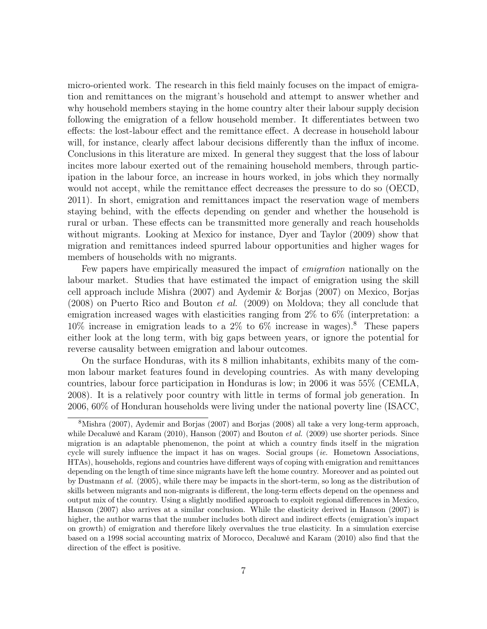micro-oriented work. The research in this field mainly focuses on the impact of emigration and remittances on the migrant's household and attempt to answer whether and why household members staying in the home country alter their labour supply decision following the emigration of a fellow household member. It differentiates between two effects: the lost-labour effect and the remittance effect. A decrease in household labour will, for instance, clearly affect labour decisions differently than the influx of income. Conclusions in this literature are mixed. In general they suggest that the loss of labour incites more labour exerted out of the remaining household members, through participation in the labour force, an increase in hours worked, in jobs which they normally would not accept, while the remittance effect decreases the pressure to do so (OECD, 2011). In short, emigration and remittances impact the reservation wage of members staying behind, with the effects depending on gender and whether the household is rural or urban. These effects can be transmitted more generally and reach households without migrants. Looking at Mexico for instance, Dyer and Taylor (2009) show that migration and remittances indeed spurred labour opportunities and higher wages for members of households with no migrants.

Few papers have empirically measured the impact of emigration nationally on the labour market. Studies that have estimated the impact of emigration using the skill cell approach include Mishra (2007) and Aydemir & Borjas (2007) on Mexico, Borjas (2008) on Puerto Rico and Bouton et al. (2009) on Moldova; they all conclude that emigration increased wages with elasticities ranging from 2% to 6% (interpretation: a  $10\%$  increase in emigration leads to a 2\% to 6\% increase in wages).<sup>8</sup> These papers either look at the long term, with big gaps between years, or ignore the potential for reverse causality between emigration and labour outcomes.

On the surface Honduras, with its 8 million inhabitants, exhibits many of the common labour market features found in developing countries. As with many developing countries, labour force participation in Honduras is low; in 2006 it was 55% (CEMLA, 2008). It is a relatively poor country with little in terms of formal job generation. In 2006, 60% of Honduran households were living under the national poverty line (ISACC,

<sup>8</sup>Mishra (2007), Aydemir and Borjas (2007) and Borjas (2008) all take a very long-term approach, while Decaluwé and Karam (2010), Hanson (2007) and Bouton *et al.* (2009) use shorter periods. Since migration is an adaptable phenomenon, the point at which a country finds itself in the migration cycle will surely influence the impact it has on wages. Social groups (ie. Hometown Associations, HTAs), households, regions and countries have different ways of coping with emigration and remittances depending on the length of time since migrants have left the home country. Moreover and as pointed out by Dustmann et al. (2005), while there may be impacts in the short-term, so long as the distribution of skills between migrants and non-migrants is different, the long-term effects depend on the openness and output mix of the country. Using a slightly modified approach to exploit regional differences in Mexico, Hanson (2007) also arrives at a similar conclusion. While the elasticity derived in Hanson (2007) is higher, the author warns that the number includes both direct and indirect effects (emigration's impact on growth) of emigration and therefore likely overvalues the true elasticity. In a simulation exercise based on a 1998 social accounting matrix of Morocco, Decaluwé and Karam (2010) also find that the direction of the effect is positive.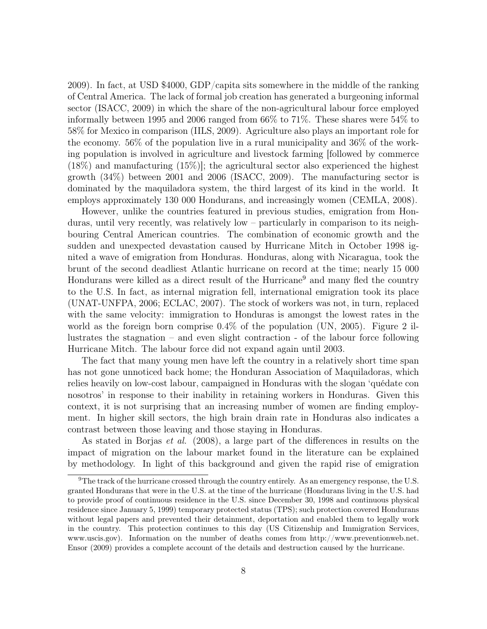2009). In fact, at USD \$4000, GDP/capita sits somewhere in the middle of the ranking of Central America. The lack of formal job creation has generated a burgeoning informal sector (ISACC, 2009) in which the share of the non-agricultural labour force employed informally between 1995 and 2006 ranged from 66% to 71%. These shares were 54% to 58% for Mexico in comparison (IILS, 2009). Agriculture also plays an important role for the economy. 56% of the population live in a rural municipality and 36% of the working population is involved in agriculture and livestock farming [followed by commerce (18%) and manufacturing (15%)]; the agricultural sector also experienced the highest growth (34%) between 2001 and 2006 (ISACC, 2009). The manufacturing sector is dominated by the maquiladora system, the third largest of its kind in the world. It employs approximately 130 000 Hondurans, and increasingly women (CEMLA, 2008).

However, unlike the countries featured in previous studies, emigration from Honduras, until very recently, was relatively low – particularly in comparison to its neighbouring Central American countries. The combination of economic growth and the sudden and unexpected devastation caused by Hurricane Mitch in October 1998 ignited a wave of emigration from Honduras. Honduras, along with Nicaragua, took the brunt of the second deadliest Atlantic hurricane on record at the time; nearly 15 000 Hondurans were killed as a direct result of the Hurricane<sup>9</sup> and many fled the country to the U.S. In fact, as internal migration fell, international emigration took its place (UNAT-UNFPA, 2006; ECLAC, 2007). The stock of workers was not, in turn, replaced with the same velocity: immigration to Honduras is amongst the lowest rates in the world as the foreign born comprise 0.4% of the population (UN, 2005). Figure 2 illustrates the stagnation – and even slight contraction - of the labour force following Hurricane Mitch. The labour force did not expand again until 2003.

The fact that many young men have left the country in a relatively short time span has not gone unnoticed back home; the Honduran Association of Maquiladoras, which relies heavily on low-cost labour, campaigned in Honduras with the slogan 'quédate con nosotros' in response to their inability in retaining workers in Honduras. Given this context, it is not surprising that an increasing number of women are finding employment. In higher skill sectors, the high brain drain rate in Honduras also indicates a contrast between those leaving and those staying in Honduras.

As stated in Borjas et al. (2008), a large part of the differences in results on the impact of migration on the labour market found in the literature can be explained by methodology. In light of this background and given the rapid rise of emigration

<sup>9</sup>The track of the hurricane crossed through the country entirely. As an emergency response, the U.S. granted Hondurans that were in the U.S. at the time of the hurricane (Hondurans living in the U.S. had to provide proof of continuous residence in the U.S. since December 30, 1998 and continuous physical residence since January 5, 1999) temporary protected status (TPS); such protection covered Hondurans without legal papers and prevented their detainment, deportation and enabled them to legally work in the country. This protection continues to this day (US Citizenship and Immigration Services, www.uscis.gov). Information on the number of deaths comes from http://www.preventionweb.net. Ensor (2009) provides a complete account of the details and destruction caused by the hurricane.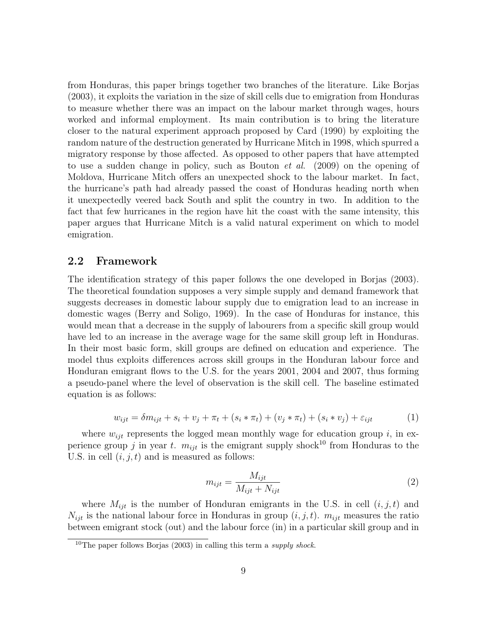from Honduras, this paper brings together two branches of the literature. Like Borjas (2003), it exploits the variation in the size of skill cells due to emigration from Honduras to measure whether there was an impact on the labour market through wages, hours worked and informal employment. Its main contribution is to bring the literature closer to the natural experiment approach proposed by Card (1990) by exploiting the random nature of the destruction generated by Hurricane Mitch in 1998, which spurred a migratory response by those affected. As opposed to other papers that have attempted to use a sudden change in policy, such as Bouton et al. (2009) on the opening of Moldova, Hurricane Mitch offers an unexpected shock to the labour market. In fact, the hurricane's path had already passed the coast of Honduras heading north when it unexpectedly veered back South and split the country in two. In addition to the fact that few hurricanes in the region have hit the coast with the same intensity, this paper argues that Hurricane Mitch is a valid natural experiment on which to model emigration.

#### 2.2 Framework

The identification strategy of this paper follows the one developed in Borjas (2003). The theoretical foundation supposes a very simple supply and demand framework that suggests decreases in domestic labour supply due to emigration lead to an increase in domestic wages (Berry and Soligo, 1969). In the case of Honduras for instance, this would mean that a decrease in the supply of labourers from a specific skill group would have led to an increase in the average wage for the same skill group left in Honduras. In their most basic form, skill groups are defined on education and experience. The model thus exploits differences across skill groups in the Honduran labour force and Honduran emigrant flows to the U.S. for the years 2001, 2004 and 2007, thus forming a pseudo-panel where the level of observation is the skill cell. The baseline estimated equation is as follows:

$$
w_{ijt} = \delta m_{ijt} + s_i + v_j + \pi_t + (s_i * \pi_t) + (v_j * \pi_t) + (s_i * v_j) + \varepsilon_{ijt}
$$
 (1)

where  $w_{ijt}$  represents the logged mean monthly wage for education group i, in experience group j in year t.  $m_{ijt}$  is the emigrant supply shock<sup>10</sup> from Honduras to the U.S. in cell  $(i, j, t)$  and is measured as follows:

$$
m_{ijt} = \frac{M_{ijt}}{M_{ijt} + N_{ijt}}\tag{2}
$$

where  $M_{ijt}$  is the number of Honduran emigrants in the U.S. in cell  $(i, j, t)$  and  $N_{ijt}$  is the national labour force in Honduras in group  $(i, j, t)$ .  $m_{ijt}$  measures the ratio between emigrant stock (out) and the labour force (in) in a particular skill group and in

 $10$ The paper follows Borjas (2003) in calling this term a *supply shock*.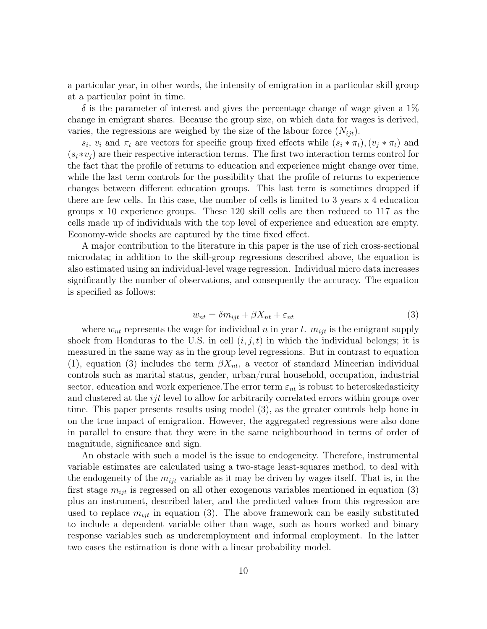a particular year, in other words, the intensity of emigration in a particular skill group at a particular point in time.

 $\delta$  is the parameter of interest and gives the percentage change of wage given a 1% change in emigrant shares. Because the group size, on which data for wages is derived, varies, the regressions are weighed by the size of the labour force  $(N_{iit})$ .

 $s_i$ ,  $v_i$  and  $\pi_t$  are vectors for specific group fixed effects while  $(s_i * \pi_t)$ ,  $(v_j * \pi_t)$  and  $(s_i * v_j)$  are their respective interaction terms. The first two interaction terms control for the fact that the profile of returns to education and experience might change over time, while the last term controls for the possibility that the profile of returns to experience changes between different education groups. This last term is sometimes dropped if there are few cells. In this case, the number of cells is limited to 3 years x 4 education groups x 10 experience groups. These 120 skill cells are then reduced to 117 as the cells made up of individuals with the top level of experience and education are empty. Economy-wide shocks are captured by the time fixed effect.

A major contribution to the literature in this paper is the use of rich cross-sectional microdata; in addition to the skill-group regressions described above, the equation is also estimated using an individual-level wage regression. Individual micro data increases significantly the number of observations, and consequently the accuracy. The equation is specified as follows:

$$
w_{nt} = \delta m_{ijt} + \beta X_{nt} + \varepsilon_{nt} \tag{3}
$$

where  $w_{nt}$  represents the wage for individual n in year t.  $m_{ijt}$  is the emigrant supply shock from Honduras to the U.S. in cell  $(i, j, t)$  in which the individual belongs; it is measured in the same way as in the group level regressions. But in contrast to equation (1), equation (3) includes the term  $\beta X_{nt}$ , a vector of standard Mincerian individual controls such as marital status, gender, urban/rural household, occupation, industrial sector, education and work experience. The error term  $\varepsilon_{nt}$  is robust to heteroskedasticity and clustered at the  $ijt$  level to allow for arbitrarily correlated errors within groups over time. This paper presents results using model (3), as the greater controls help hone in on the true impact of emigration. However, the aggregated regressions were also done in parallel to ensure that they were in the same neighbourhood in terms of order of magnitude, significance and sign.

An obstacle with such a model is the issue to endogeneity. Therefore, instrumental variable estimates are calculated using a two-stage least-squares method, to deal with the endogeneity of the  $m_{ijt}$  variable as it may be driven by wages itself. That is, in the first stage  $m_{ijt}$  is regressed on all other exogenous variables mentioned in equation (3) plus an instrument, described later, and the predicted values from this regression are used to replace  $m_{ijt}$  in equation (3). The above framework can be easily substituted to include a dependent variable other than wage, such as hours worked and binary response variables such as underemployment and informal employment. In the latter two cases the estimation is done with a linear probability model.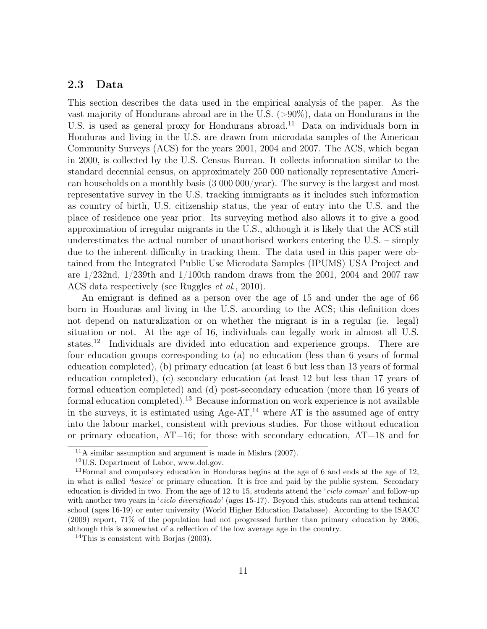#### 2.3 Data

This section describes the data used in the empirical analysis of the paper. As the vast majority of Hondurans abroad are in the U.S. (>90%), data on Hondurans in the U.S. is used as general proxy for Hondurans abroad.<sup>11</sup> Data on individuals born in Honduras and living in the U.S. are drawn from microdata samples of the American Community Surveys (ACS) for the years 2001, 2004 and 2007. The ACS, which began in 2000, is collected by the U.S. Census Bureau. It collects information similar to the standard decennial census, on approximately 250 000 nationally representative American households on a monthly basis (3 000 000/year). The survey is the largest and most representative survey in the U.S. tracking immigrants as it includes such information as country of birth, U.S. citizenship status, the year of entry into the U.S. and the place of residence one year prior. Its surveying method also allows it to give a good approximation of irregular migrants in the U.S., although it is likely that the ACS still underestimates the actual number of unauthorised workers entering the U.S. – simply due to the inherent difficulty in tracking them. The data used in this paper were obtained from the Integrated Public Use Microdata Samples (IPUMS) USA Project and are  $1/232$ nd,  $1/239$ th and  $1/100$ th random draws from the 2001, 2004 and 2007 raw ACS data respectively (see Ruggles et al., 2010).

An emigrant is defined as a person over the age of 15 and under the age of 66 born in Honduras and living in the U.S. according to the ACS; this definition does not depend on naturalization or on whether the migrant is in a regular (ie. legal) situation or not. At the age of 16, individuals can legally work in almost all U.S. states.<sup>12</sup> Individuals are divided into education and experience groups. There are four education groups corresponding to (a) no education (less than 6 years of formal education completed), (b) primary education (at least 6 but less than 13 years of formal education completed), (c) secondary education (at least 12 but less than 17 years of formal education completed) and (d) post-secondary education (more than 16 years of formal education completed).<sup>13</sup> Because information on work experience is not available in the surveys, it is estimated using Age-AT,<sup>14</sup> where AT is the assumed age of entry into the labour market, consistent with previous studies. For those without education or primary education,  $AT=16$ ; for those with secondary education,  $AT=18$  and for

 $11A$  similar assumption and argument is made in Mishra  $(2007)$ .

<sup>12</sup>U.S. Department of Labor, www.dol.gov.

 $13$ Formal and compulsory education in Honduras begins at the age of 6 and ends at the age of 12, in what is called 'basica' or primary education. It is free and paid by the public system. Secondary education is divided in two. From the age of 12 to 15, students attend the 'ciclo comun' and follow-up with another two years in '*ciclo diversificado*' (ages 15-17). Beyond this, students can attend technical school (ages 16-19) or enter university (World Higher Education Database). According to the ISACC (2009) report, 71% of the population had not progressed further than primary education by 2006, although this is somewhat of a reflection of the low average age in the country.

<sup>&</sup>lt;sup>14</sup>This is consistent with Borjas  $(2003)$ .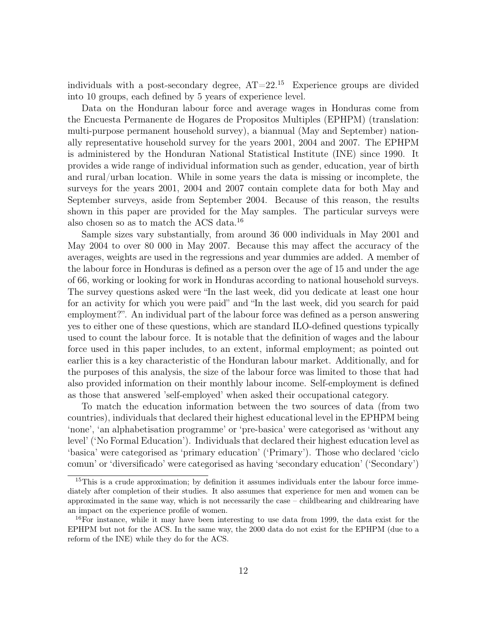individuals with a post-secondary degree,  $AT=22^{15}$  Experience groups are divided into 10 groups, each defined by 5 years of experience level.

Data on the Honduran labour force and average wages in Honduras come from the Encuesta Permanente de Hogares de Propositos Multiples (EPHPM) (translation: multi-purpose permanent household survey), a biannual (May and September) nationally representative household survey for the years 2001, 2004 and 2007. The EPHPM is administered by the Honduran National Statistical Institute (INE) since 1990. It provides a wide range of individual information such as gender, education, year of birth and rural/urban location. While in some years the data is missing or incomplete, the surveys for the years 2001, 2004 and 2007 contain complete data for both May and September surveys, aside from September 2004. Because of this reason, the results shown in this paper are provided for the May samples. The particular surveys were also chosen so as to match the ACS data.<sup>16</sup>

Sample sizes vary substantially, from around 36 000 individuals in May 2001 and May 2004 to over 80 000 in May 2007. Because this may affect the accuracy of the averages, weights are used in the regressions and year dummies are added. A member of the labour force in Honduras is defined as a person over the age of 15 and under the age of 66, working or looking for work in Honduras according to national household surveys. The survey questions asked were "In the last week, did you dedicate at least one hour for an activity for which you were paid" and "In the last week, did you search for paid employment?". An individual part of the labour force was defined as a person answering yes to either one of these questions, which are standard ILO-defined questions typically used to count the labour force. It is notable that the definition of wages and the labour force used in this paper includes, to an extent, informal employment; as pointed out earlier this is a key characteristic of the Honduran labour market. Additionally, and for the purposes of this analysis, the size of the labour force was limited to those that had also provided information on their monthly labour income. Self-employment is defined as those that answered 'self-employed' when asked their occupational category.

To match the education information between the two sources of data (from two countries), individuals that declared their highest educational level in the EPHPM being 'none', 'an alphabetisation programme' or 'pre-basica' were categorised as 'without any level' ('No Formal Education'). Individuals that declared their highest education level as 'basica' were categorised as 'primary education' ('Primary'). Those who declared 'ciclo comun' or 'diversificado' were categorised as having 'secondary education' ('Secondary')

<sup>&</sup>lt;sup>15</sup>This is a crude approximation; by definition it assumes individuals enter the labour force immediately after completion of their studies. It also assumes that experience for men and women can be approximated in the same way, which is not necessarily the case – childbearing and childrearing have an impact on the experience profile of women.

<sup>&</sup>lt;sup>16</sup>For instance, while it may have been interesting to use data from 1999, the data exist for the EPHPM but not for the ACS. In the same way, the 2000 data do not exist for the EPHPM (due to a reform of the INE) while they do for the ACS.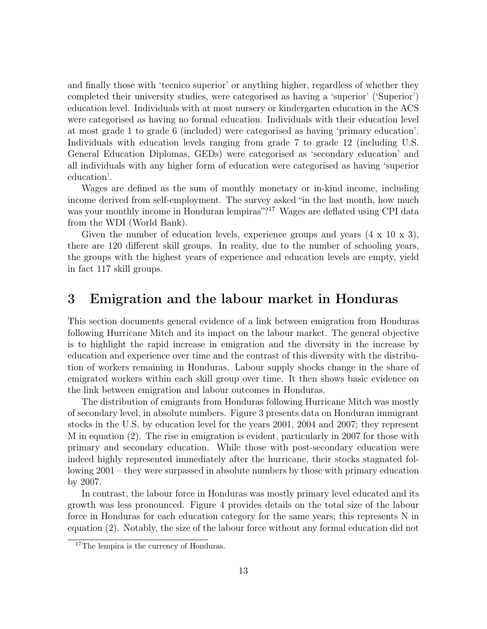and finally those with 'tecnico superior' or anything higher, regardless of whether they completed their university studies, were categorised as having a 'superior' ('Superior') education level. Individuals with at most nursery or kindergarten education in the ACS were categorised as having no formal education. Individuals with their education level at most grade 1 to grade 6 (included) were categorised as having 'primary education'. Individuals with education levels ranging from grade 7 to grade 12 (including U.S. General Education Diplomas, GEDs) were categorised as 'secondary education' and all individuals with any higher form of education were categorised as having 'superior education'.

Wages are defined as the sum of monthly monetary or in-kind income, including income derived from self-employment. The survey asked "in the last month, how much was your monthly income in Honduran lempiras"?<sup>17</sup> Wages are deflated using CPI data from the WDI (World Bank).

Given the number of education levels, experience groups and years  $(4 \times 10 \times 3)$ , there are 120 different skill groups. In reality, due to the number of schooling years, the groups with the highest years of experience and education levels are empty, yield in fact 117 skill groups.

### 3 Emigration and the labour market in Honduras

This section documents general evidence of a link between emigration from Honduras following Hurricane Mitch and its impact on the labour market. The general objective is to highlight the rapid increase in emigration and the diversity in the increase by education and experience over time and the contrast of this diversity with the distribution of workers remaining in Honduras. Labour supply shocks change in the share of emigrated workers within each skill group over time. It then shows basic evidence on the link between emigration and labour outcomes in Honduras.

The distribution of emigrants from Honduras following Hurricane Mitch was mostly of secondary level, in absolute numbers. Figure 3 presents data on Honduran immigrant stocks in the U.S. by education level for the years 2001, 2004 and 2007; they represent M in equation (2). The rise in emigration is evident, particularly in 2007 for those with primary and secondary education. While those with post-secondary education were indeed highly represented immediately after the hurricane, their stocks stagnated following 2001 – they were surpassed in absolute numbers by those with primary education by 2007.

In contrast, the labour force in Honduras was mostly primary level educated and its growth was less pronounced. Figure 4 provides details on the total size of the labour force in Honduras for each education category for the same years; this represents N in equation (2). Notably, the size of the labour force without any formal education did not

<sup>&</sup>lt;sup>17</sup>The lempira is the currency of Honduras.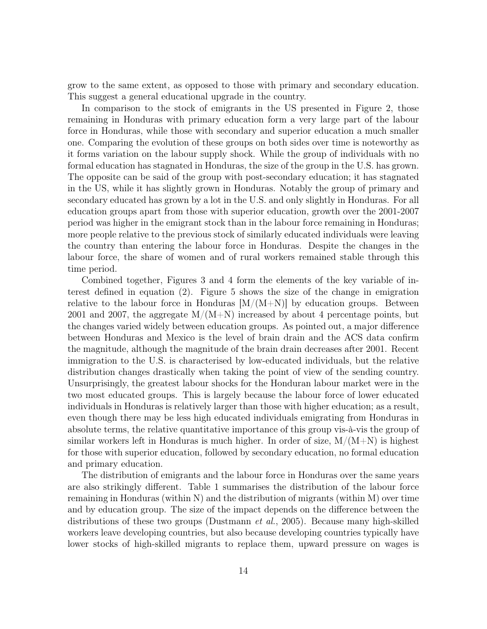grow to the same extent, as opposed to those with primary and secondary education. This suggest a general educational upgrade in the country.

In comparison to the stock of emigrants in the US presented in Figure 2, those remaining in Honduras with primary education form a very large part of the labour force in Honduras, while those with secondary and superior education a much smaller one. Comparing the evolution of these groups on both sides over time is noteworthy as it forms variation on the labour supply shock. While the group of individuals with no formal education has stagnated in Honduras, the size of the group in the U.S. has grown. The opposite can be said of the group with post-secondary education; it has stagnated in the US, while it has slightly grown in Honduras. Notably the group of primary and secondary educated has grown by a lot in the U.S. and only slightly in Honduras. For all education groups apart from those with superior education, growth over the 2001-2007 period was higher in the emigrant stock than in the labour force remaining in Honduras; more people relative to the previous stock of similarly educated individuals were leaving the country than entering the labour force in Honduras. Despite the changes in the labour force, the share of women and of rural workers remained stable through this time period.

Combined together, Figures 3 and 4 form the elements of the key variable of interest defined in equation (2). Figure 5 shows the size of the change in emigration relative to the labour force in Honduras  $|M/(M+N)|$  by education groups. Between 2001 and 2007, the aggregate  $M/(M+N)$  increased by about 4 percentage points, but the changes varied widely between education groups. As pointed out, a major difference between Honduras and Mexico is the level of brain drain and the ACS data confirm the magnitude, although the magnitude of the brain drain decreases after 2001. Recent immigration to the U.S. is characterised by low-educated individuals, but the relative distribution changes drastically when taking the point of view of the sending country. Unsurprisingly, the greatest labour shocks for the Honduran labour market were in the two most educated groups. This is largely because the labour force of lower educated individuals in Honduras is relatively larger than those with higher education; as a result, even though there may be less high educated individuals emigrating from Honduras in absolute terms, the relative quantitative importance of this group vis-à-vis the group of similar workers left in Honduras is much higher. In order of size,  $M/(M+N)$  is highest for those with superior education, followed by secondary education, no formal education and primary education.

The distribution of emigrants and the labour force in Honduras over the same years are also strikingly different. Table 1 summarises the distribution of the labour force remaining in Honduras (within N) and the distribution of migrants (within M) over time and by education group. The size of the impact depends on the difference between the distributions of these two groups (Dustmann *et al.*, 2005). Because many high-skilled workers leave developing countries, but also because developing countries typically have lower stocks of high-skilled migrants to replace them, upward pressure on wages is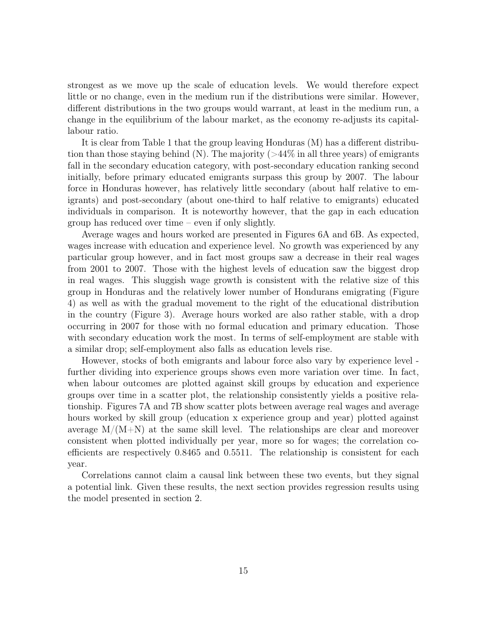strongest as we move up the scale of education levels. We would therefore expect little or no change, even in the medium run if the distributions were similar. However, different distributions in the two groups would warrant, at least in the medium run, a change in the equilibrium of the labour market, as the economy re-adjusts its capitallabour ratio.

It is clear from Table 1 that the group leaving Honduras (M) has a different distribution than those staying behind  $(N)$ . The majority  $(>44\%$  in all three years) of emigrants fall in the secondary education category, with post-secondary education ranking second initially, before primary educated emigrants surpass this group by 2007. The labour force in Honduras however, has relatively little secondary (about half relative to emigrants) and post-secondary (about one-third to half relative to emigrants) educated individuals in comparison. It is noteworthy however, that the gap in each education group has reduced over time – even if only slightly.

Average wages and hours worked are presented in Figures 6A and 6B. As expected, wages increase with education and experience level. No growth was experienced by any particular group however, and in fact most groups saw a decrease in their real wages from 2001 to 2007. Those with the highest levels of education saw the biggest drop in real wages. This sluggish wage growth is consistent with the relative size of this group in Honduras and the relatively lower number of Hondurans emigrating (Figure 4) as well as with the gradual movement to the right of the educational distribution in the country (Figure 3). Average hours worked are also rather stable, with a drop occurring in 2007 for those with no formal education and primary education. Those with secondary education work the most. In terms of self-employment are stable with a similar drop; self-employment also falls as education levels rise.

However, stocks of both emigrants and labour force also vary by experience level further dividing into experience groups shows even more variation over time. In fact, when labour outcomes are plotted against skill groups by education and experience groups over time in a scatter plot, the relationship consistently yields a positive relationship. Figures 7A and 7B show scatter plots between average real wages and average hours worked by skill group (education x experience group and year) plotted against average  $M/(M+N)$  at the same skill level. The relationships are clear and moreover consistent when plotted individually per year, more so for wages; the correlation coefficients are respectively 0.8465 and 0.5511. The relationship is consistent for each year.

Correlations cannot claim a causal link between these two events, but they signal a potential link. Given these results, the next section provides regression results using the model presented in section 2.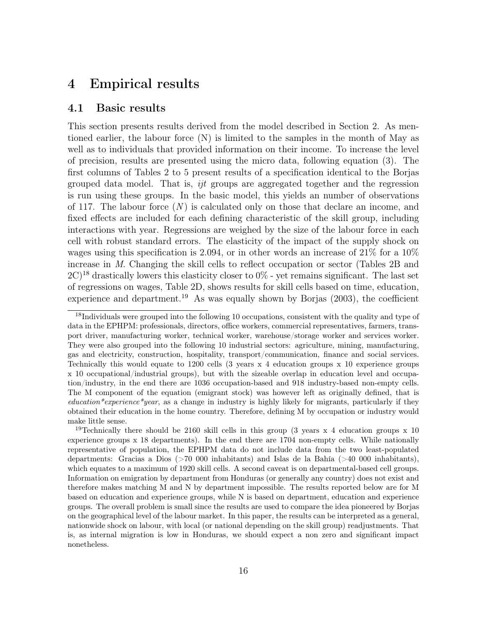### 4 Empirical results

#### 4.1 Basic results

This section presents results derived from the model described in Section 2. As mentioned earlier, the labour force (N) is limited to the samples in the month of May as well as to individuals that provided information on their income. To increase the level of precision, results are presented using the micro data, following equation (3). The first columns of Tables 2 to 5 present results of a specification identical to the Borjas grouped data model. That is, ijt groups are aggregated together and the regression is run using these groups. In the basic model, this yields an number of observations of 117. The labour force  $(N)$  is calculated only on those that declare an income, and fixed effects are included for each defining characteristic of the skill group, including interactions with year. Regressions are weighed by the size of the labour force in each cell with robust standard errors. The elasticity of the impact of the supply shock on wages using this specification is 2.094, or in other words an increase of  $21\%$  for a  $10\%$ increase in M. Changing the skill cells to reflect occupation or sector (Tables 2B and  $2C$ <sup>18</sup> drastically lowers this elasticity closer to 0% - yet remains significant. The last set of regressions on wages, Table 2D, shows results for skill cells based on time, education, experience and department.<sup>19</sup> As was equally shown by Borjas  $(2003)$ , the coefficient

<sup>&</sup>lt;sup>18</sup>Individuals were grouped into the following 10 occupations, consistent with the quality and type of data in the EPHPM: professionals, directors, office workers, commercial representatives, farmers, transport driver, manufacturing worker, technical worker, warehouse/storage worker and services worker. They were also grouped into the following 10 industrial sectors: agriculture, mining, manufacturing, gas and electricity, construction, hospitality, transport/communication, finance and social services. Technically this would equate to 1200 cells (3 years x 4 education groups x 10 experience groups x 10 occupational/industrial groups), but with the sizeable overlap in education level and occupation/industry, in the end there are 1036 occupation-based and 918 industry-based non-empty cells. The M component of the equation (emigrant stock) was however left as originally defined, that is  $eduction* experience*year$ , as a change in industry is highly likely for migrants, particularly if they obtained their education in the home country. Therefore, defining M by occupation or industry would make little sense.

<sup>&</sup>lt;sup>19</sup>Technically there should be 2160 skill cells in this group (3 years x 4 education groups x 10 experience groups x 18 departments). In the end there are 1704 non-empty cells. While nationally representative of population, the EPHPM data do not include data from the two least-populated departments: Gracias a Dios (>70 000 inhabitants) and Islas de la Bahía (>40 000 inhabitants), which equates to a maximum of 1920 skill cells. A second caveat is on departmental-based cell groups. Information on emigration by department from Honduras (or generally any country) does not exist and therefore makes matching M and N by department impossible. The results reported below are for M based on education and experience groups, while N is based on department, education and experience groups. The overall problem is small since the results are used to compare the idea pioneered by Borjas on the geographical level of the labour market. In this paper, the results can be interpreted as a general, nationwide shock on labour, with local (or national depending on the skill group) readjustments. That is, as internal migration is low in Honduras, we should expect a non zero and significant impact nonetheless.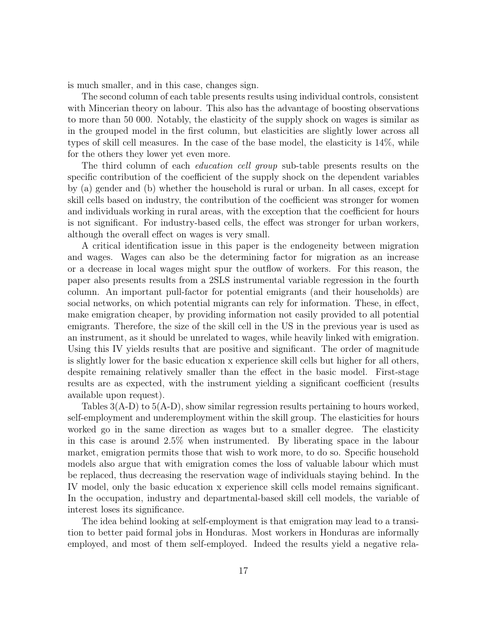is much smaller, and in this case, changes sign.

The second column of each table presents results using individual controls, consistent with Mincerian theory on labour. This also has the advantage of boosting observations to more than 50 000. Notably, the elasticity of the supply shock on wages is similar as in the grouped model in the first column, but elasticities are slightly lower across all types of skill cell measures. In the case of the base model, the elasticity is 14%, while for the others they lower yet even more.

The third column of each *education cell group* sub-table presents results on the specific contribution of the coefficient of the supply shock on the dependent variables by (a) gender and (b) whether the household is rural or urban. In all cases, except for skill cells based on industry, the contribution of the coefficient was stronger for women and individuals working in rural areas, with the exception that the coefficient for hours is not significant. For industry-based cells, the effect was stronger for urban workers, although the overall effect on wages is very small.

A critical identification issue in this paper is the endogeneity between migration and wages. Wages can also be the determining factor for migration as an increase or a decrease in local wages might spur the outflow of workers. For this reason, the paper also presents results from a 2SLS instrumental variable regression in the fourth column. An important pull-factor for potential emigrants (and their households) are social networks, on which potential migrants can rely for information. These, in effect, make emigration cheaper, by providing information not easily provided to all potential emigrants. Therefore, the size of the skill cell in the US in the previous year is used as an instrument, as it should be unrelated to wages, while heavily linked with emigration. Using this IV yields results that are positive and significant. The order of magnitude is slightly lower for the basic education x experience skill cells but higher for all others, despite remaining relatively smaller than the effect in the basic model. First-stage results are as expected, with the instrument yielding a significant coefficient (results available upon request).

Tables  $3(A-D)$  to  $5(A-D)$ , show similar regression results pertaining to hours worked, self-employment and underemployment within the skill group. The elasticities for hours worked go in the same direction as wages but to a smaller degree. The elasticity in this case is around 2.5% when instrumented. By liberating space in the labour market, emigration permits those that wish to work more, to do so. Specific household models also argue that with emigration comes the loss of valuable labour which must be replaced, thus decreasing the reservation wage of individuals staying behind. In the IV model, only the basic education x experience skill cells model remains significant. In the occupation, industry and departmental-based skill cell models, the variable of interest loses its significance.

The idea behind looking at self-employment is that emigration may lead to a transition to better paid formal jobs in Honduras. Most workers in Honduras are informally employed, and most of them self-employed. Indeed the results yield a negative rela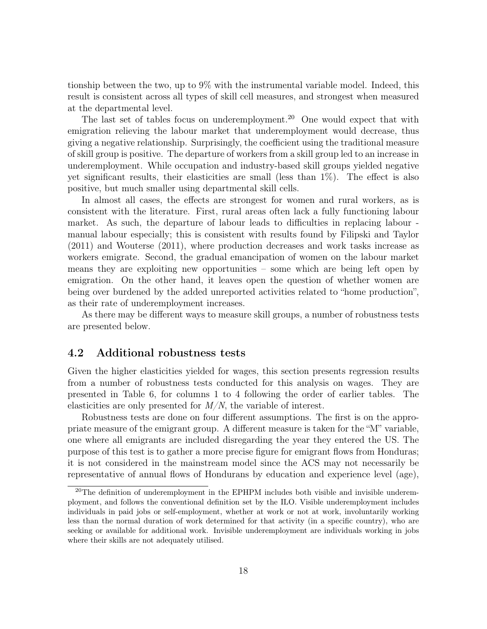tionship between the two, up to 9% with the instrumental variable model. Indeed, this result is consistent across all types of skill cell measures, and strongest when measured at the departmental level.

The last set of tables focus on underemployment.<sup>20</sup> One would expect that with emigration relieving the labour market that underemployment would decrease, thus giving a negative relationship. Surprisingly, the coefficient using the traditional measure of skill group is positive. The departure of workers from a skill group led to an increase in underemployment. While occupation and industry-based skill groups yielded negative yet significant results, their elasticities are small (less than 1%). The effect is also positive, but much smaller using departmental skill cells.

In almost all cases, the effects are strongest for women and rural workers, as is consistent with the literature. First, rural areas often lack a fully functioning labour market. As such, the departure of labour leads to difficulties in replacing labour manual labour especially; this is consistent with results found by Filipski and Taylor (2011) and Wouterse (2011), where production decreases and work tasks increase as workers emigrate. Second, the gradual emancipation of women on the labour market means they are exploiting new opportunities – some which are being left open by emigration. On the other hand, it leaves open the question of whether women are being over burdened by the added unreported activities related to "home production", as their rate of underemployment increases.

As there may be different ways to measure skill groups, a number of robustness tests are presented below.

#### 4.2 Additional robustness tests

Given the higher elasticities yielded for wages, this section presents regression results from a number of robustness tests conducted for this analysis on wages. They are presented in Table 6, for columns 1 to 4 following the order of earlier tables. The elasticities are only presented for  $M/N$ , the variable of interest.

Robustness tests are done on four different assumptions. The first is on the appropriate measure of the emigrant group. A different measure is taken for the "M" variable, one where all emigrants are included disregarding the year they entered the US. The purpose of this test is to gather a more precise figure for emigrant flows from Honduras; it is not considered in the mainstream model since the ACS may not necessarily be representative of annual flows of Hondurans by education and experience level (age),

 $20$ The definition of underemployment in the EPHPM includes both visible and invisible underemployment, and follows the conventional definition set by the ILO. Visible underemployment includes individuals in paid jobs or self-employment, whether at work or not at work, involuntarily working less than the normal duration of work determined for that activity (in a specific country), who are seeking or available for additional work. Invisible underemployment are individuals working in jobs where their skills are not adequately utilised.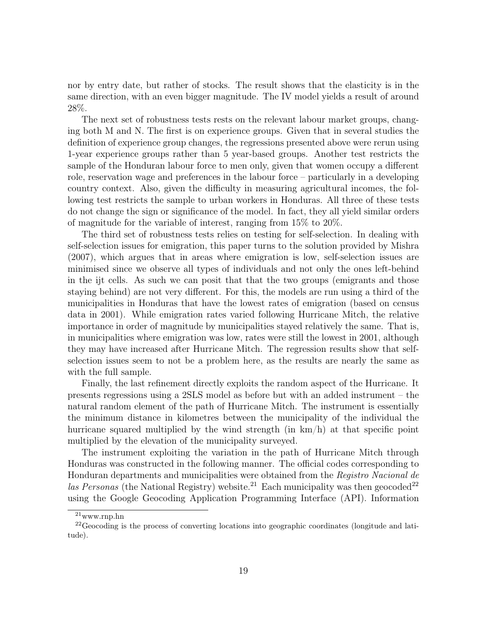nor by entry date, but rather of stocks. The result shows that the elasticity is in the same direction, with an even bigger magnitude. The IV model yields a result of around 28%.

The next set of robustness tests rests on the relevant labour market groups, changing both M and N. The first is on experience groups. Given that in several studies the definition of experience group changes, the regressions presented above were rerun using 1-year experience groups rather than 5 year-based groups. Another test restricts the sample of the Honduran labour force to men only, given that women occupy a different role, reservation wage and preferences in the labour force – particularly in a developing country context. Also, given the difficulty in measuring agricultural incomes, the following test restricts the sample to urban workers in Honduras. All three of these tests do not change the sign or significance of the model. In fact, they all yield similar orders of magnitude for the variable of interest, ranging from 15% to 20%.

The third set of robustness tests relies on testing for self-selection. In dealing with self-selection issues for emigration, this paper turns to the solution provided by Mishra (2007), which argues that in areas where emigration is low, self-selection issues are minimised since we observe all types of individuals and not only the ones left-behind in the ijt cells. As such we can posit that that the two groups (emigrants and those staying behind) are not very different. For this, the models are run using a third of the municipalities in Honduras that have the lowest rates of emigration (based on census data in 2001). While emigration rates varied following Hurricane Mitch, the relative importance in order of magnitude by municipalities stayed relatively the same. That is, in municipalities where emigration was low, rates were still the lowest in 2001, although they may have increased after Hurricane Mitch. The regression results show that selfselection issues seem to not be a problem here, as the results are nearly the same as with the full sample.

Finally, the last refinement directly exploits the random aspect of the Hurricane. It presents regressions using a 2SLS model as before but with an added instrument – the natural random element of the path of Hurricane Mitch. The instrument is essentially the minimum distance in kilometres between the municipality of the individual the hurricane squared multiplied by the wind strength (in km/h) at that specific point multiplied by the elevation of the municipality surveyed.

The instrument exploiting the variation in the path of Hurricane Mitch through Honduras was constructed in the following manner. The official codes corresponding to Honduran departments and municipalities were obtained from the Registro Nacional de las Personas (the National Registry) website.<sup>21</sup> Each municipality was then geocoded<sup>22</sup> using the Google Geocoding Application Programming Interface (API). Information

 $\overline{21}$ www.rnp.hn

<sup>&</sup>lt;sup>22</sup>Geocoding is the process of converting locations into geographic coordinates (longitude and latitude).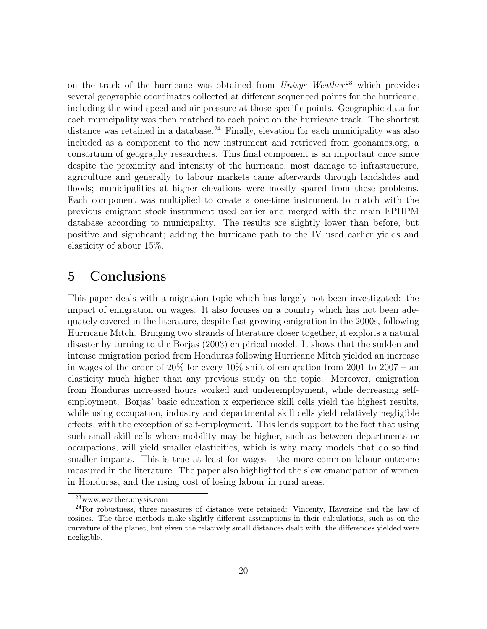on the track of the hurricane was obtained from  $Unisys$  Weather<sup>23</sup> which provides several geographic coordinates collected at different sequenced points for the hurricane, including the wind speed and air pressure at those specific points. Geographic data for each municipality was then matched to each point on the hurricane track. The shortest distance was retained in a database.<sup>24</sup> Finally, elevation for each municipality was also included as a component to the new instrument and retrieved from geonames.org, a consortium of geography researchers. This final component is an important once since despite the proximity and intensity of the hurricane, most damage to infrastructure, agriculture and generally to labour markets came afterwards through landslides and floods; municipalities at higher elevations were mostly spared from these problems. Each component was multiplied to create a one-time instrument to match with the previous emigrant stock instrument used earlier and merged with the main EPHPM database according to municipality. The results are slightly lower than before, but positive and significant; adding the hurricane path to the IV used earlier yields and elasticity of abour 15%.

### 5 Conclusions

This paper deals with a migration topic which has largely not been investigated: the impact of emigration on wages. It also focuses on a country which has not been adequately covered in the literature, despite fast growing emigration in the 2000s, following Hurricane Mitch. Bringing two strands of literature closer together, it exploits a natural disaster by turning to the Borjas (2003) empirical model. It shows that the sudden and intense emigration period from Honduras following Hurricane Mitch yielded an increase in wages of the order of 20% for every 10% shift of emigration from 2001 to 2007 – an elasticity much higher than any previous study on the topic. Moreover, emigration from Honduras increased hours worked and underemployment, while decreasing selfemployment. Borjas' basic education x experience skill cells yield the highest results, while using occupation, industry and departmental skill cells yield relatively negligible effects, with the exception of self-employment. This lends support to the fact that using such small skill cells where mobility may be higher, such as between departments or occupations, will yield smaller elasticities, which is why many models that do so find smaller impacts. This is true at least for wages - the more common labour outcome measured in the literature. The paper also highlighted the slow emancipation of women in Honduras, and the rising cost of losing labour in rural areas.

<sup>23</sup>www.weather.unysis.com

<sup>&</sup>lt;sup>24</sup>For robustness, three measures of distance were retained: Vincenty, Haversine and the law of cosines. The three methods make slightly different assumptions in their calculations, such as on the curvature of the planet, but given the relatively small distances dealt with, the differences yielded were negligible.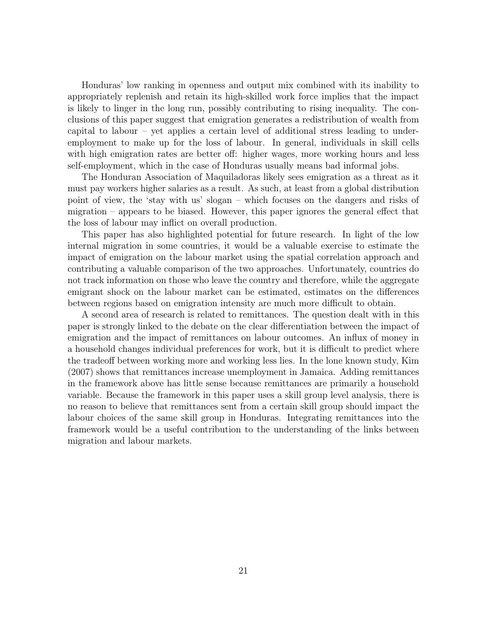Honduras' low ranking in openness and output mix combined with its inability to appropriately replenish and retain its high-skilled work force implies that the impact is likely to linger in the long run, possibly contributing to rising inequality. The conclusions of this paper suggest that emigration generates a redistribution of wealth from capital to labour – yet applies a certain level of additional stress leading to underemployment to make up for the loss of labour. In general, individuals in skill cells with high emigration rates are better off: higher wages, more working hours and less self-employment, which in the case of Honduras usually means bad informal jobs.

The Honduran Association of Maquiladoras likely sees emigration as a threat as it must pay workers higher salaries as a result. As such, at least from a global distribution point of view, the 'stay with us' slogan – which focuses on the dangers and risks of migration – appears to be biased. However, this paper ignores the general effect that the loss of labour may inflict on overall production.

This paper has also highlighted potential for future research. In light of the low internal migration in some countries, it would be a valuable exercise to estimate the impact of emigration on the labour market using the spatial correlation approach and contributing a valuable comparison of the two approaches. Unfortunately, countries do not track information on those who leave the country and therefore, while the aggregate emigrant shock on the labour market can be estimated, estimates on the differences between regions based on emigration intensity are much more difficult to obtain.

A second area of research is related to remittances. The question dealt with in this paper is strongly linked to the debate on the clear differentiation between the impact of emigration and the impact of remittances on labour outcomes. An influx of money in a household changes individual preferences for work, but it is difficult to predict where the tradeoff between working more and working less lies. In the lone known study, Kim (2007) shows that remittances increase unemployment in Jamaica. Adding remittances in the framework above has little sense because remittances are primarily a household variable. Because the framework in this paper uses a skill group level analysis, there is no reason to believe that remittances sent from a certain skill group should impact the labour choices of the same skill group in Honduras. Integrating remittances into the framework would be a useful contribution to the understanding of the links between migration and labour markets.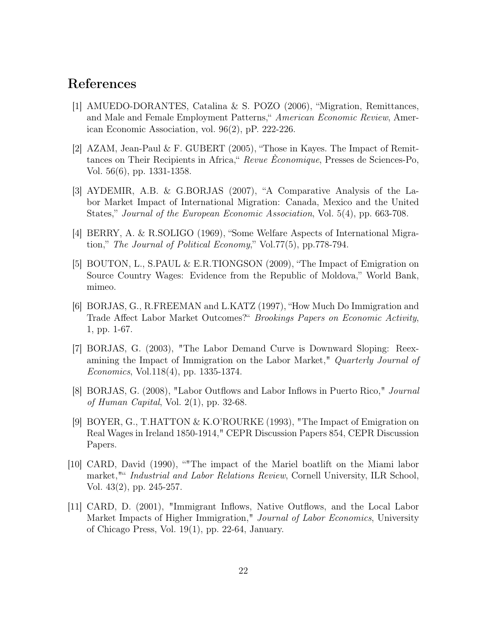### References

- [1] AMUEDO-DORANTES, Catalina & S. POZO (2006), "Migration, Remittances, and Male and Female Employment Patterns," American Economic Review, American Economic Association, vol. 96(2), pP. 222-226.
- [2] AZAM, Jean-Paul & F. GUBERT (2005), "Those in Kayes. The Impact of Remittances on Their Recipients in Africa," Revue Èconomique, Presses de Sciences-Po, Vol. 56(6), pp. 1331-1358.
- [3] AYDEMIR, A.B. & G.BORJAS (2007), "A Comparative Analysis of the Labor Market Impact of International Migration: Canada, Mexico and the United States," Journal of the European Economic Association, Vol. 5(4), pp. 663-708.
- [4] BERRY, A. & R.SOLIGO (1969), "Some Welfare Aspects of International Migration," The Journal of Political Economy," Vol.77(5), pp.778-794.
- [5] BOUTON, L., S.PAUL & E.R.TIONGSON (2009), "The Impact of Emigration on Source Country Wages: Evidence from the Republic of Moldova," World Bank, mimeo.
- [6] BORJAS, G., R.FREEMAN and L.KATZ (1997), "How Much Do Immigration and Trade Affect Labor Market Outcomes?" Brookings Papers on Economic Activity, 1, pp. 1-67.
- [7] BORJAS, G. (2003), "The Labor Demand Curve is Downward Sloping: Reexamining the Impact of Immigration on the Labor Market," *Quarterly Journal of* Economics, Vol.118(4), pp. 1335-1374.
- [8] BORJAS, G. (2008), "Labor Outflows and Labor Inflows in Puerto Rico," Journal of Human Capital, Vol.  $2(1)$ , pp. 32-68.
- [9] BOYER, G., T.HATTON & K.O'ROURKE (1993), "The Impact of Emigration on Real Wages in Ireland 1850-1914," CEPR Discussion Papers 854, CEPR Discussion Papers.
- [10] CARD, David (1990), ""The impact of the Mariel boatlift on the Miami labor market,"" Industrial and Labor Relations Review, Cornell University, ILR School, Vol. 43(2), pp. 245-257.
- [11] CARD, D. (2001), "Immigrant Inflows, Native Outflows, and the Local Labor Market Impacts of Higher Immigration," Journal of Labor Economics, University of Chicago Press, Vol. 19(1), pp. 22-64, January.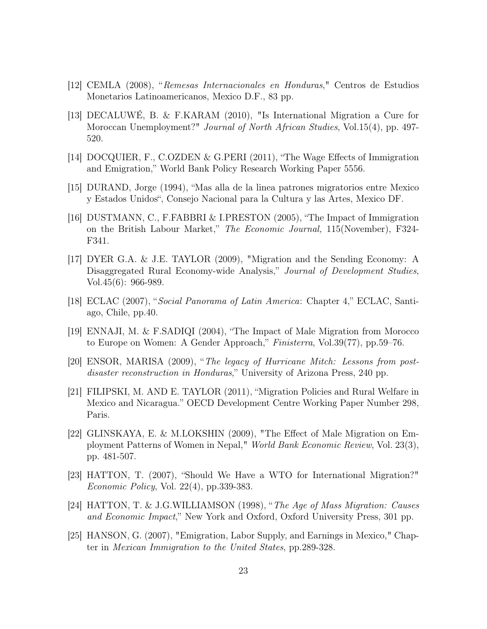- [12] CEMLA (2008), "Remesas Internacionales en Honduras," Centros de Estudios Monetarios Latinoamericanos, Mexico D.F., 83 pp.
- [13] DECALUWÉ, B. & F.KARAM (2010), "Is International Migration a Cure for Moroccan Unemployment?" Journal of North African Studies, Vol.15(4), pp. 497- 520.
- [14] DOCQUIER, F., C.OZDEN & G.PERI (2011), "The Wage Effects of Immigration and Emigration," World Bank Policy Research Working Paper 5556.
- [15] DURAND, Jorge (1994), "Mas alla de la linea patrones migratorios entre Mexico y Estados Unidos", Consejo Nacional para la Cultura y las Artes, Mexico DF.
- [16] DUSTMANN, C., F.FABBRI & I.PRESTON (2005), "The Impact of Immigration on the British Labour Market," The Economic Journal, 115(November), F324- F341.
- [17] DYER G.A. & J.E. TAYLOR (2009), "Migration and the Sending Economy: A Disaggregated Rural Economy-wide Analysis," Journal of Development Studies, Vol.45(6): 966-989.
- [18] ECLAC (2007), "Social Panorama of Latin America: Chapter 4," ECLAC, Santiago, Chile, pp.40.
- [19] ENNAJI, M. & F.SADIQI (2004), "The Impact of Male Migration from Morocco to Europe on Women: A Gender Approach," Finisterra, Vol.39(77), pp.59–76.
- [20] ENSOR, MARISA (2009), "The legacy of Hurricane Mitch: Lessons from postdisaster reconstruction in Honduras," University of Arizona Press, 240 pp.
- [21] FILIPSKI, M. AND E. TAYLOR (2011), "Migration Policies and Rural Welfare in Mexico and Nicaragua." OECD Development Centre Working Paper Number 298, Paris.
- [22] GLINSKAYA, E. & M.LOKSHIN (2009), "The Effect of Male Migration on Employment Patterns of Women in Nepal," World Bank Economic Review, Vol. 23(3), pp. 481-507.
- [23] HATTON, T. (2007), "Should We Have a WTO for International Migration?" Economic Policy, Vol. 22(4), pp.339-383.
- [24] HATTON, T. & J.G.WILLIAMSON (1998), "The Age of Mass Migration: Causes and Economic Impact," New York and Oxford, Oxford University Press, 301 pp.
- [25] HANSON, G. (2007), "Emigration, Labor Supply, and Earnings in Mexico," Chapter in Mexican Immigration to the United States, pp.289-328.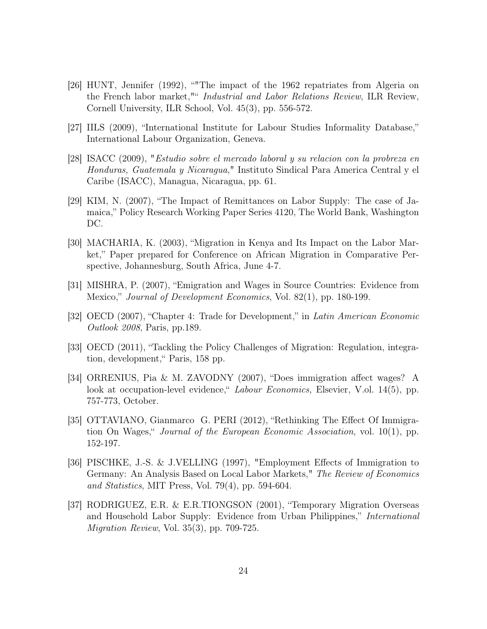- [26] HUNT, Jennifer (1992), ""The impact of the 1962 repatriates from Algeria on the French labor market,"" Industrial and Labor Relations Review, ILR Review, Cornell University, ILR School, Vol. 45(3), pp. 556-572.
- [27] IILS (2009), "International Institute for Labour Studies Informality Database," International Labour Organization, Geneva.
- [28] ISACC (2009), "Estudio sobre el mercado laboral y su relacion con la probreza en Honduras, Guatemala y Nicaragua," Instituto Sindical Para America Central y el Caribe (ISACC), Managua, Nicaragua, pp. 61.
- [29] KIM, N. (2007), "The Impact of Remittances on Labor Supply: The case of Jamaica," Policy Research Working Paper Series 4120, The World Bank, Washington DC.
- [30] MACHARIA, K. (2003), "Migration in Kenya and Its Impact on the Labor Market," Paper prepared for Conference on African Migration in Comparative Perspective, Johannesburg, South Africa, June 4-7.
- [31] MISHRA, P. (2007), "Emigration and Wages in Source Countries: Evidence from Mexico," Journal of Development Economics, Vol. 82(1), pp. 180-199.
- [32] OECD (2007), "Chapter 4: Trade for Development," in Latin American Economic Outlook 2008, Paris, pp.189.
- [33] OECD (2011), "Tackling the Policy Challenges of Migration: Regulation, integration, development," Paris, 158 pp.
- [34] ORRENIUS, Pia & M. ZAVODNY (2007), "Does immigration affect wages? A look at occupation-level evidence," *Labour Economics*, Elsevier, V.ol. 14(5), pp. 757-773, October.
- [35] OTTAVIANO, Gianmarco G. PERI (2012), "Rethinking The Effect Of Immigration On Wages," Journal of the European Economic Association, vol. 10(1), pp. 152-197.
- [36] PISCHKE, J.-S. & J.VELLING (1997), "Employment Effects of Immigration to Germany: An Analysis Based on Local Labor Markets," The Review of Economics and Statistics, MIT Press, Vol. 79(4), pp. 594-604.
- [37] RODRIGUEZ, E.R. & E.R.TIONGSON (2001), "Temporary Migration Overseas and Household Labor Supply: Evidence from Urban Philippines," International Migration Review, Vol. 35(3), pp. 709-725.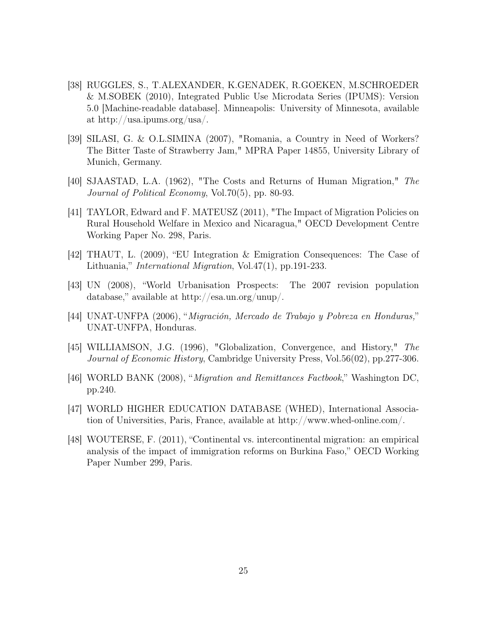- [38] RUGGLES, S., T.ALEXANDER, K.GENADEK, R.GOEKEN, M.SCHROEDER & M.SOBEK (2010), Integrated Public Use Microdata Series (IPUMS): Version 5.0 [Machine-readable database]. Minneapolis: University of Minnesota, available at http://usa.ipums.org/usa/.
- [39] SILASI, G. & O.L.SIMINA (2007), "Romania, a Country in Need of Workers? The Bitter Taste of Strawberry Jam," MPRA Paper 14855, University Library of Munich, Germany.
- [40] SJAASTAD, L.A. (1962), "The Costs and Returns of Human Migration," The Journal of Political Economy, Vol.70(5), pp. 80-93.
- [41] TAYLOR, Edward and F. MATEUSZ (2011), "The Impact of Migration Policies on Rural Household Welfare in Mexico and Nicaragua," OECD Development Centre Working Paper No. 298, Paris.
- [42] THAUT, L. (2009), "EU Integration & Emigration Consequences: The Case of Lithuania," International Migration, Vol.47(1), pp.191-233.
- [43] UN (2008), "World Urbanisation Prospects: The 2007 revision population database," available at http://esa.un.org/unup/.
- [44] UNAT-UNFPA (2006), "Migración, Mercado de Trabajo y Pobreza en Honduras," UNAT-UNFPA, Honduras.
- [45] WILLIAMSON, J.G. (1996), "Globalization, Convergence, and History," The Journal of Economic History, Cambridge University Press, Vol.56(02), pp.277-306.
- [46] WORLD BANK (2008), "Migration and Remittances Factbook," Washington DC, pp.240.
- [47] WORLD HIGHER EDUCATION DATABASE (WHED), International Association of Universities, Paris, France, available at http://www.whed-online.com/.
- [48] WOUTERSE, F. (2011), "Continental vs. intercontinental migration: an empirical analysis of the impact of immigration reforms on Burkina Faso," OECD Working Paper Number 299, Paris.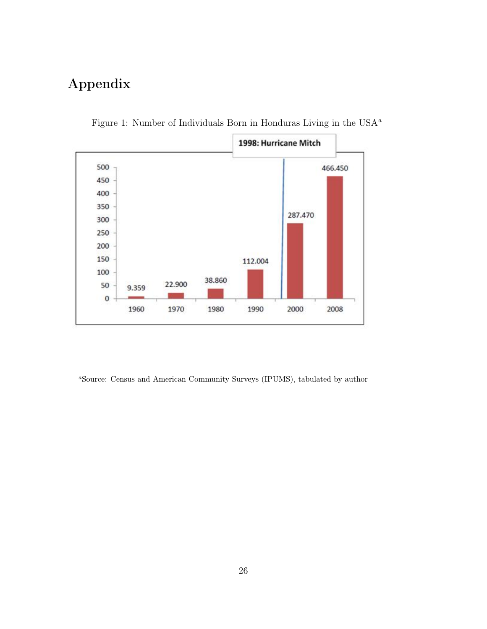## Appendix



Figure 1: Number of Individuals Born in Honduras Living in the USA $^a$ 

<sup>a</sup>Source: Census and American Community Surveys (IPUMS), tabulated by author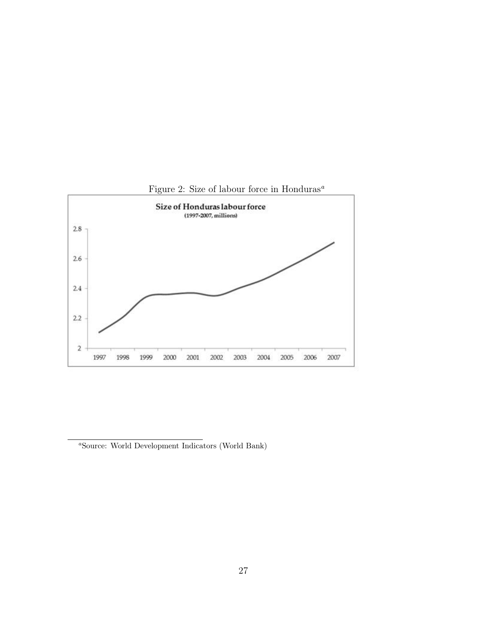



<sup>a</sup>Source: World Development Indicators (World Bank)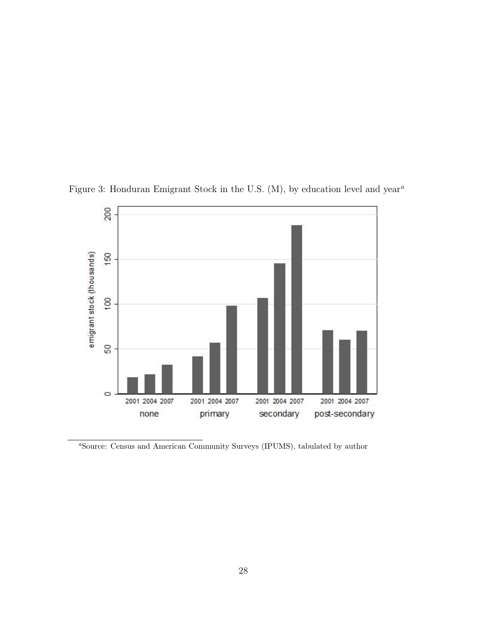

Figure 3: Honduran Emigrant Stock in the U.S. (M), by education level and year<sup> $^a$ </sup>

<sup>a</sup>Source: Census and American Community Surveys (IPUMS), tabulated by author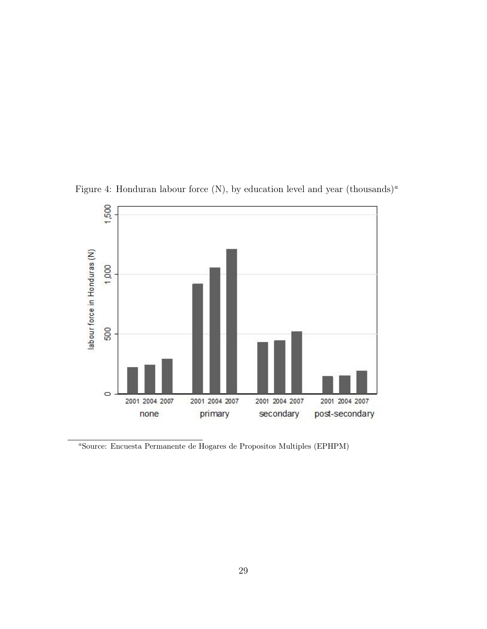

Figure 4: Honduran labour force (N), by education level and year (thousands)<sup>a</sup>

<sup>a</sup>Source: Encuesta Permanente de Hogares de Propositos Multiples (EPHPM)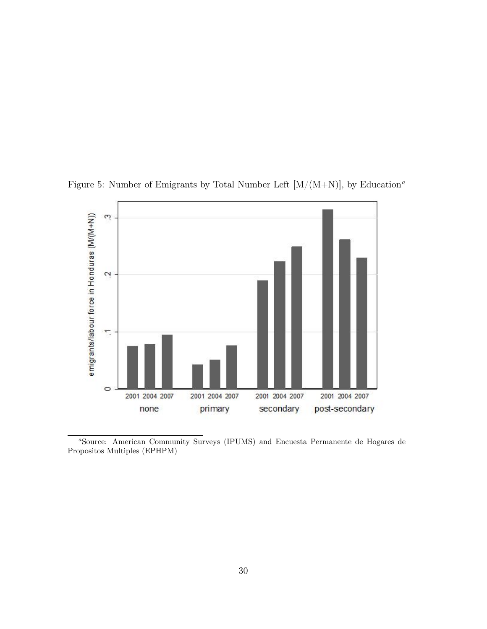

Figure 5: Number of Emigrants by Total Number Left  $[M/(M+N)]$ , by Education<sup>a</sup>

<sup>a</sup>Source: American Community Surveys (IPUMS) and Encuesta Permanente de Hogares de Propositos Multiples (EPHPM)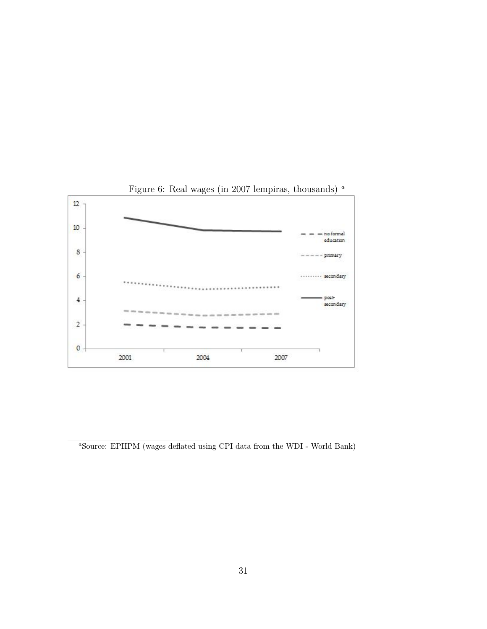

Figure 6: Real wages (in 2007 lempiras, thousands)  $^a$ 

 $^a$ Source: EPHPM (wages deflated using CPI data from the WDI - World Bank)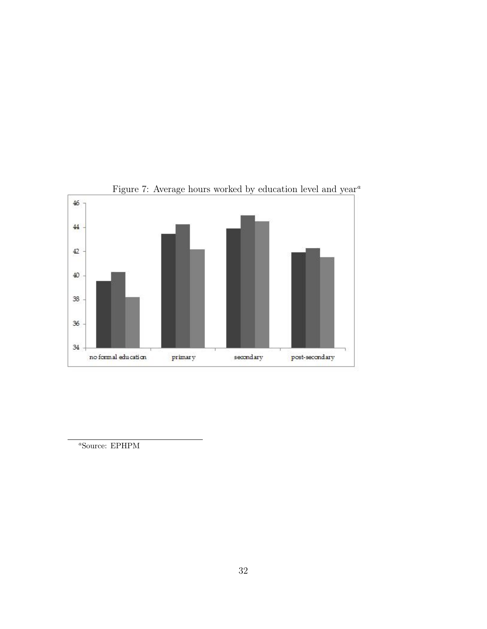

Figure 7: Average hours worked by education level and  $\mathrm{year}^{\,a}$ 

<sup>a</sup>Source: EPHPM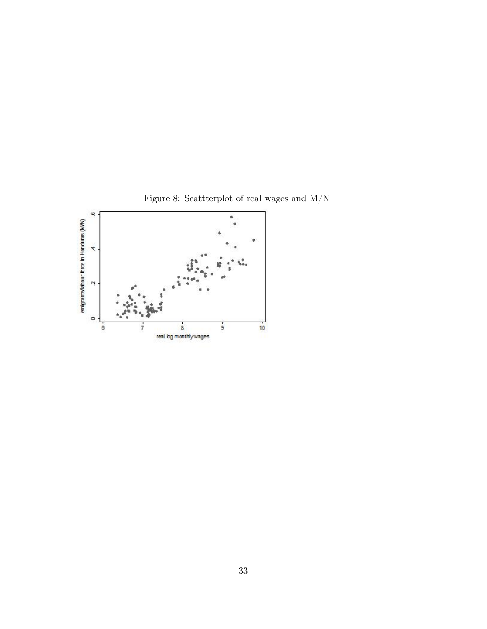

Figure 8: Scattterplot of real wages and  $\rm M/N$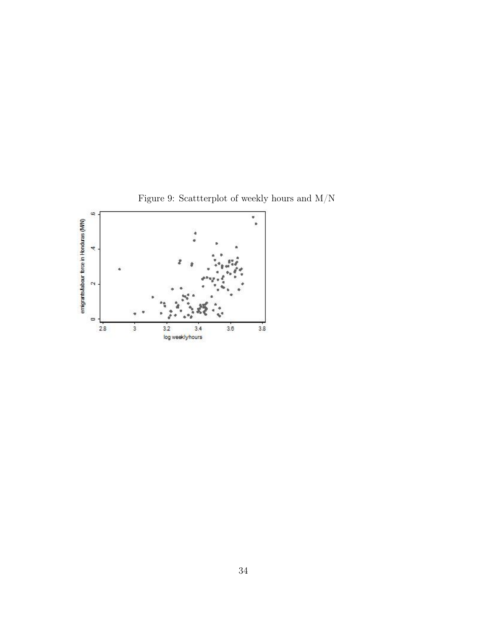

Figure 9: Scattterplot of weekly hours and  $\rm M/N$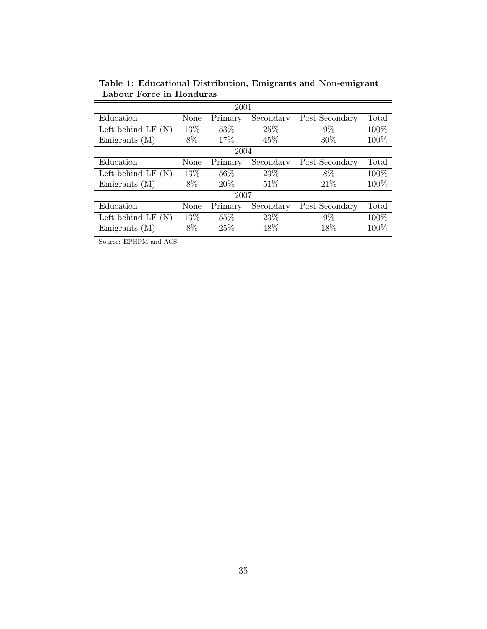| 2001                  |      |         |           |                |       |  |
|-----------------------|------|---------|-----------|----------------|-------|--|
| Education             | None | Primary | Secondary | Post-Secondary | Total |  |
| Left-behind LF $(N)$  | 13%  | 53\%    | 25%       | $9\%$          | 100\% |  |
| Emigrants $(M)$       | 8%   | 17%     | 45\%      | 30\%           | 100\% |  |
|                       |      | 2004    |           |                |       |  |
| Education             | None | Primary | Secondary | Post-Secondary | Total |  |
| Left-behind LF $(N)$  | 13%  | 56%     | 23\%      | 8%             | 100%  |  |
| Emigrants $(M)$       | 8%   | $20\%$  | 51%       | 21\%           | 100%  |  |
| 2007                  |      |         |           |                |       |  |
| Education             | None | Primary | Secondary | Post-Secondary | Total |  |
| Left-behind LF<br>(N) | 13%  | 55%     | 23\%      | $9\%$          | 100\% |  |
| Emigrants $(M)$       | 8%   | 25\%    | 48\%      | 18%            | 100%  |  |

Table 1: Educational Distribution, Emigrants and Non-emigrant Labour Force in Honduras

Source: EPHPM and ACS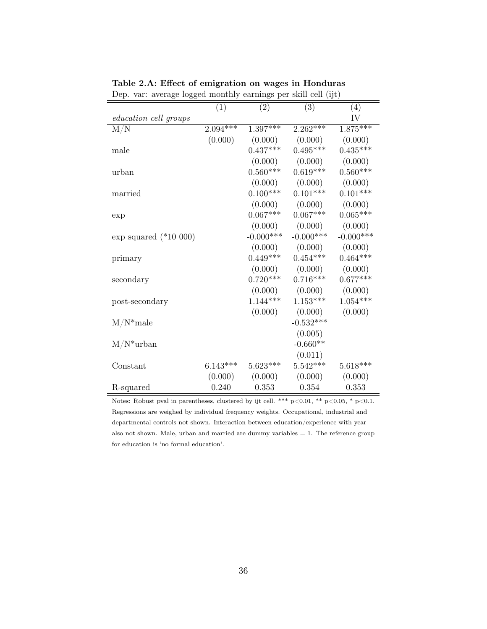|                          | (1)        | (2)             | (3)          | (4)         |
|--------------------------|------------|-----------------|--------------|-------------|
| education cell groups    |            |                 |              | IV          |
| M/N                      | $2.094***$ | $1.397***$      | $2.262***$   | $1.875***$  |
|                          | (0.000)    | (0.000)         | (0.000)      | (0.000)     |
| male                     |            | $0.437***$      | $0.495***$   | $0.435***$  |
|                          |            | (0.000)         | (0.000)      | (0.000)     |
| urban                    |            | $0.560***$      | $0.619***$   | $0.560***$  |
|                          |            | (0.000)         | (0.000)      | (0.000)     |
| married                  |            | $0.100^{***}\;$ | $0.101***$   | $0.101***$  |
|                          |            | (0.000)         | (0.000)      | (0.000)     |
| exp                      |            | $0.067***$      | $0.067***$   | $0.065***$  |
|                          |            | (0.000)         | (0.000)      | (0.000)     |
| $\exp$ squared (*10 000) |            | $-0.000***$     | $-0.000$ *** | $-0.000***$ |
|                          |            | (0.000)         | (0.000)      | (0.000)     |
| primary                  |            | $0.449***$      | $0.454***$   | $0.464***$  |
|                          |            | (0.000)         | (0.000)      | (0.000)     |
| secondary                |            | $0.720***$      | $0.716***$   | $0.677***$  |
|                          |            | (0.000)         | (0.000)      | (0.000)     |
| post-secondary           |            | $1.144***$      | $1.153***$   | $1.054***$  |
|                          |            | (0.000)         | (0.000)      | (0.000)     |
| $M/N^*$ male             |            |                 | $-0.532***$  |             |
|                          |            |                 | (0.005)      |             |
| $M/N^*$ urban            |            |                 | $-0.660**$   |             |
|                          |            |                 | (0.011)      |             |
| Constant                 | $6.143***$ | $5.623***$      | $5.542***$   | $5.618***$  |
|                          | (0.000)    | (0.000)         | (0.000)      | (0.000)     |
| R-squared                | 0.240      | 0.353           | 0.354        | 0.353       |

Table 2.A: Effect of emigration on wages in Honduras Dep. var: average logged monthly earnings per skill cell (ijt)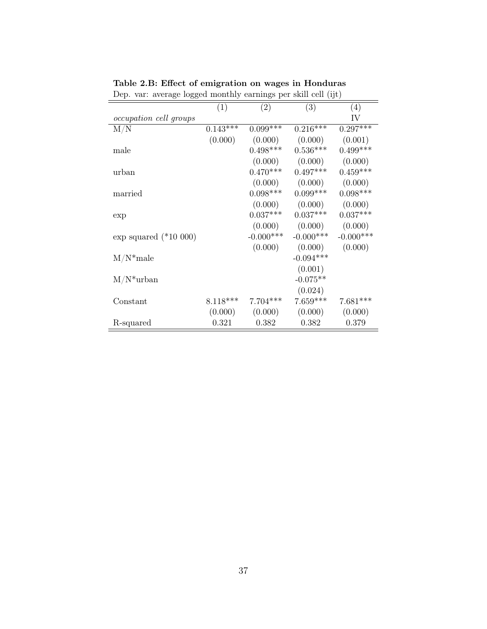|                          | (1)        | (2)         | (3)         | $\left( 4\right)$ |
|--------------------------|------------|-------------|-------------|-------------------|
| occupation cell groups   |            |             |             | IV                |
| M/N                      | $0.143***$ | $0.099***$  | $0.216***$  | $0.297***$        |
|                          | (0.000)    | (0.000)     | (0.000)     | (0.001)           |
| male                     |            | $0.498***$  | $0.536***$  | $0.499***$        |
|                          |            | (0.000)     | (0.000)     | (0.000)           |
| urban                    |            | $0.470***$  | $0.497***$  | $0.459***$        |
|                          |            | (0.000)     | (0.000)     | (0.000)           |
| married                  |            | $0.098***$  | $0.099***$  | $0.098***$        |
|                          |            | (0.000)     | (0.000)     | (0.000)           |
| exp                      |            | $0.037***$  | $0.037***$  | $0.037***$        |
|                          |            | (0.000)     | (0.000)     | (0.000)           |
| $\exp$ squared (*10 000) |            | $-0.000***$ | $-0.000***$ | $-0.000***$       |
|                          |            | (0.000)     | (0.000)     | (0.000)           |
| $M/N^*$ male             |            |             | $-0.094***$ |                   |
|                          |            |             | (0.001)     |                   |
| $M/N^*$ urban            |            |             | $-0.075**$  |                   |
|                          |            |             | (0.024)     |                   |
| Constant                 | $8.118***$ | $7.704***$  | $7.659***$  | $7.681***$        |
|                          | (0.000)    | (0.000)     | (0.000)     | (0.000)           |
| R-squared                | 0.321      | 0.382       | 0.382       | 0.379             |
|                          |            |             |             |                   |

Table 2.B: Effect of emigration on wages in Honduras Dep. var: average logged monthly earnings per skill cell (ijt)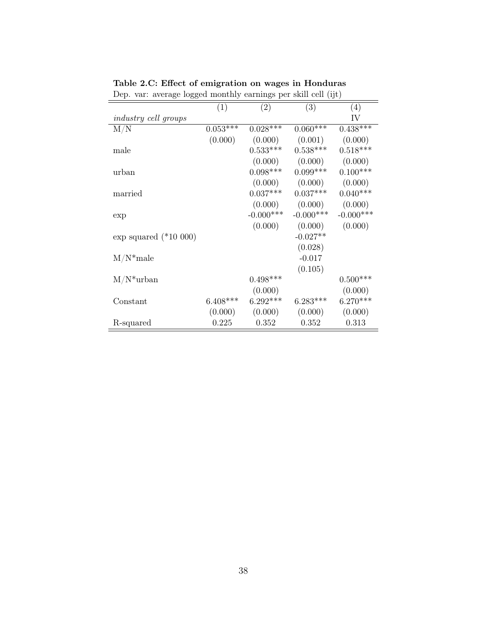| $\sim$ pc $\sim$ . we also togged monthly carrings per sum centrally |              |              |              |  |
|----------------------------------------------------------------------|--------------|--------------|--------------|--|
| (1)                                                                  | (2)          | (3)          | (4)          |  |
|                                                                      |              |              | IV           |  |
| $0.053***$                                                           | $0.028***$   | $0.060***$   | $0.438***$   |  |
| (0.000)                                                              | (0.000)      | (0.001)      | (0.000)      |  |
|                                                                      | $0.533***$   | $0.538***$   | $0.518***$   |  |
|                                                                      | (0.000)      | (0.000)      | (0.000)      |  |
|                                                                      | $0.098***$   | $0.099***$   | $0.100***$   |  |
|                                                                      | (0.000)      | (0.000)      | (0.000)      |  |
|                                                                      | $0.037***$   | $0.037***$   | $0.040***$   |  |
|                                                                      | (0.000)      | (0.000)      | (0.000)      |  |
|                                                                      | $-0.000$ *** | $-0.000$ *** | $-0.000$ *** |  |
|                                                                      | (0.000)      | (0.000)      | (0.000)      |  |
|                                                                      |              | $-0.027**$   |              |  |
|                                                                      |              | (0.028)      |              |  |
|                                                                      |              | $-0.017$     |              |  |
|                                                                      |              | (0.105)      |              |  |
|                                                                      | $0.498***$   |              | $0.500***$   |  |
|                                                                      | (0.000)      |              | (0.000)      |  |
| $6.408***$                                                           | $6.292***$   | $6.283***$   | $6.270***$   |  |
| (0.000)                                                              | (0.000)      | (0.000)      | (0.000)      |  |
| 0.225                                                                | 0.352        | 0.352        | 0.313        |  |
|                                                                      |              |              |              |  |

Table 2.C: Effect of emigration on wages in Honduras Dep. var: average logged monthly earnings per skill cell (ijt)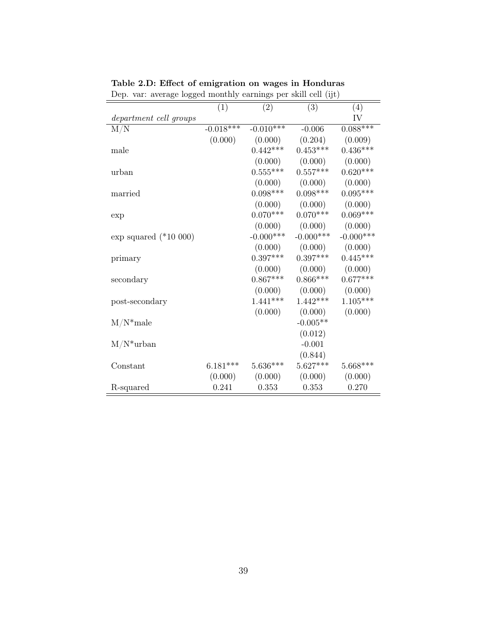|                          | (1)         | (2)          | (3)         | (4)          |
|--------------------------|-------------|--------------|-------------|--------------|
| department cell groups   |             |              |             | IV           |
| M/N                      | $-0.018***$ | $-0.010***$  | $-0.006$    | $0.088***$   |
|                          | (0.000)     | (0.000)      | (0.204)     | (0.009)      |
| male                     |             | $0.442***$   | $0.453***$  | $0.436***$   |
|                          |             | (0.000)      | (0.000)     | (0.000)      |
| urban                    |             | $0.555***$   | $0.557***$  | $0.620***$   |
|                          |             | (0.000)      | (0.000)     | (0.000)      |
| married                  |             | $0.098***$   | $0.098***$  | $0.095***$   |
|                          |             | (0.000)      | (0.000)     | (0.000)      |
| exp                      |             | $0.070***$   | $0.070***$  | $0.069***$   |
|                          |             | (0.000)      | (0.000)     | (0.000)      |
| $\exp$ squared (*10 000) |             | $-0.000$ *** | $-0.000***$ | $-0.000$ *** |
|                          |             | (0.000)      | (0.000)     | (0.000)      |
| primary                  |             | $0.397***$   | $0.397***$  | $0.445***$   |
|                          |             | (0.000)      | (0.000)     | (0.000)      |
| secondary                |             | $0.867***$   | $0.866***$  | $0.677***$   |
|                          |             | (0.000)      | (0.000)     | (0.000)      |
| post-secondary           |             | $1.441***$   | $1.442***$  | $1.105***$   |
|                          |             | (0.000)      | (0.000)     | (0.000)      |
| $M/N^*$ male             |             |              | $-0.005**$  |              |
|                          |             |              | (0.012)     |              |
| $M/N^*$ urban            |             |              | $-0.001$    |              |
|                          |             |              | (0.844)     |              |
| Constant                 | $6.181***$  | $5.636***$   | $5.627***$  | $5.668***$   |
|                          | (0.000)     | (0.000)      | (0.000)     | (0.000)      |
| R-squared                | 0.241       | 0.353        | 0.353       | 0.270        |

Table 2.D: Effect of emigration on wages in Honduras Dep. var: average logged monthly earnings per skill cell (ijt)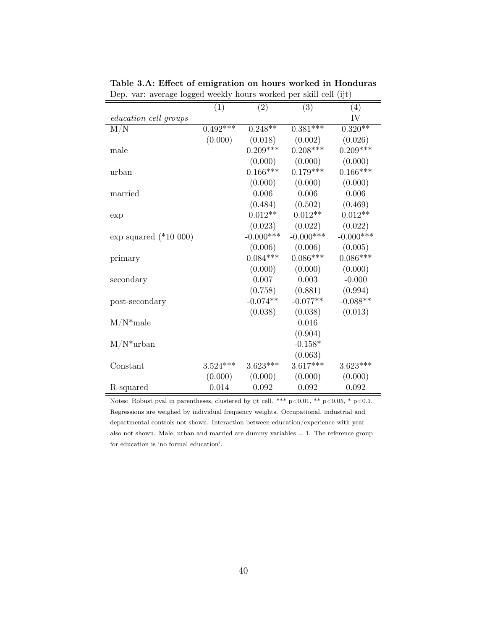|                              | (1)        | (2)         | $\frac{1}{2}$<br>(3)  | (4)                   |
|------------------------------|------------|-------------|-----------------------|-----------------------|
| <i>education cell groups</i> |            |             |                       | IV                    |
| M/N                          | $0.492***$ | $0.248**$   | $0.381***$            | $0.320**$             |
|                              |            |             |                       |                       |
|                              | (0.000)    | (0.018)     | (0.002)<br>$0.208***$ | (0.026)<br>$0.209***$ |
| male                         |            | $0.209***$  |                       |                       |
|                              |            | (0.000)     | (0.000)               | (0.000)               |
| urban                        |            | $0.166***$  | $0.179***$            | $0.166***$            |
|                              |            | (0.000)     | (0.000)               | (0.000)               |
| married                      |            | 0.006       | 0.006                 | $0.006\,$             |
|                              |            | (0.484)     | (0.502)               | (0.469)               |
| exp                          |            | $0.012**$   | $0.012**$             | $0.012**$             |
|                              |            | (0.023)     | (0.022)               | (0.022)               |
| $\exp$ squared (*10 000)     |            | $-0.000***$ | $-0.000$ ***          | $-0.000$ ***          |
|                              |            | (0.006)     | (0.006)               | (0.005)               |
| primary                      |            | $0.084***$  | $0.086***$            | $0.086***$            |
|                              |            | (0.000)     | (0.000)               | (0.000)               |
| secondary                    |            | $0.007\,$   | 0.003                 | $-0.000$              |
|                              |            | (0.758)     | (0.881)               | (0.994)               |
| post-secondary               |            | $-0.074**$  | $-0.077**$            | $-0.088**$            |
|                              |            | (0.038)     | (0.038)               | (0.013)               |
| $M/N^*$ male                 |            |             | 0.016                 |                       |
|                              |            |             | (0.904)               |                       |
| $M/N^*$ urban                |            |             | $-0.158*$             |                       |
|                              |            |             | (0.063)               |                       |
| Constant                     | $3.524***$ | $3.623***$  | $3.617***$            | $3.623***$            |
|                              | (0.000)    | (0.000)     | (0.000)               | (0.000)               |
| R-squared                    | 0.014      | 0.092       | 0.092                 | 0.092                 |
|                              |            |             |                       |                       |

Table 3.A: Effect of emigration on hours worked in Honduras Dep. var: average logged weekly hours worked per skill cell (ijt)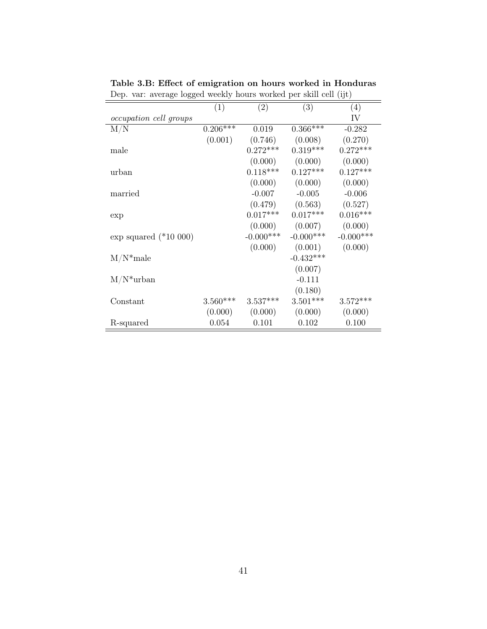| (3)<br>(1)<br>(2)<br>(4)<br>IV<br><i>occupation cell groups</i><br>$0.206***$<br>M/N<br>$0.366***$<br>0.019<br>$-0.282$<br>(0.001)<br>(0.746)<br>(0.008)<br>(0.270)<br>$0.272***$<br>$0.319***$<br>$0.272***$<br>male<br>(0.000)<br>(0.000)<br>(0.000) |       |            |            |            |
|--------------------------------------------------------------------------------------------------------------------------------------------------------------------------------------------------------------------------------------------------------|-------|------------|------------|------------|
|                                                                                                                                                                                                                                                        |       |            |            |            |
|                                                                                                                                                                                                                                                        |       |            |            |            |
|                                                                                                                                                                                                                                                        |       |            |            |            |
|                                                                                                                                                                                                                                                        |       |            |            |            |
|                                                                                                                                                                                                                                                        |       |            |            |            |
|                                                                                                                                                                                                                                                        |       |            |            |            |
|                                                                                                                                                                                                                                                        | urban | $0.118***$ | $0.127***$ | $0.127***$ |
| (0.000)<br>(0.000)<br>(0.000)                                                                                                                                                                                                                          |       |            |            |            |
| $-0.006$<br>$-0.007$<br>$-0.005$<br>married                                                                                                                                                                                                            |       |            |            |            |
| (0.479)<br>(0.563)<br>(0.527)                                                                                                                                                                                                                          |       |            |            |            |
| $0.017***$<br>$0.016***$<br>$0.017***$<br>exp                                                                                                                                                                                                          |       |            |            |            |
| (0.000)<br>(0.007)<br>(0.000)                                                                                                                                                                                                                          |       |            |            |            |
| $-0.000$ ***<br>$-0.000$ ***<br>$-0.000$ ***<br>exp squared $(*10 000)$                                                                                                                                                                                |       |            |            |            |
| (0.001)<br>(0.000)<br>(0.000)                                                                                                                                                                                                                          |       |            |            |            |
| $M/N^*$ male<br>$-0.432***$                                                                                                                                                                                                                            |       |            |            |            |
| (0.007)                                                                                                                                                                                                                                                |       |            |            |            |
| $M/N^*$ urban<br>$-0.111$                                                                                                                                                                                                                              |       |            |            |            |
| (0.180)                                                                                                                                                                                                                                                |       |            |            |            |
| $3.560***$<br>$3.537***$<br>$3.501***$<br>$3.572***$<br>Constant                                                                                                                                                                                       |       |            |            |            |
| (0.000)<br>(0.000)<br>(0.000)<br>(0.000)                                                                                                                                                                                                               |       |            |            |            |
| 0.054<br>0.101<br>0.102<br>0.100<br>R-squared                                                                                                                                                                                                          |       |            |            |            |

Table 3.B: Effect of emigration on hours worked in Honduras Dep. var: average logged weekly hours worked per skill cell (ijt)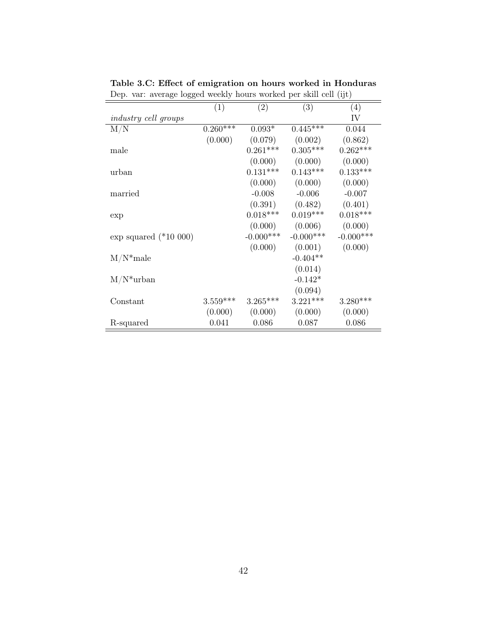|                             | (1)        | (2)          | (3)         | (4)          |
|-----------------------------|------------|--------------|-------------|--------------|
| <i>industry cell groups</i> |            |              |             | IV           |
| M/N                         | $0.260***$ | $0.093*$     | $0.445***$  | 0.044        |
|                             | (0.000)    | (0.079)      | (0.002)     | (0.862)      |
| male                        |            | $0.261***$   | $0.305***$  | $0.262***$   |
|                             |            | (0.000)      | (0.000)     | (0.000)      |
| urban                       |            | $0.131***$   | $0.143***$  | $0.133***$   |
|                             |            | (0.000)      | (0.000)     | (0.000)      |
| married                     |            | $-0.008$     | $-0.006$    | $-0.007$     |
|                             |            | (0.391)      | (0.482)     | (0.401)      |
| exp                         |            | $0.018***$   | $0.019***$  | $0.018***$   |
|                             |            | (0.000)      | (0.006)     | (0.000)      |
| exp squared $(*10 000)$     |            | $-0.000$ *** | $-0.000***$ | $-0.000$ *** |
|                             |            | (0.000)      | (0.001)     | (0.000)      |
| $M/N^*$ male                |            |              | $-0.404**$  |              |
|                             |            |              | (0.014)     |              |
| $M/N^*$ urban               |            |              | $-0.142*$   |              |
|                             |            |              | (0.094)     |              |
| Constant                    | $3.559***$ | $3.265***$   | $3.221***$  | $3.280***$   |
|                             | (0.000)    | (0.000)      | (0.000)     | (0.000)      |
| R-squared                   | 0.041      | 0.086        | 0.087       | 0.086        |
|                             |            |              |             |              |

Table 3.C: Effect of emigration on hours worked in Honduras Dep. var: average logged weekly hours worked per skill cell (ijt)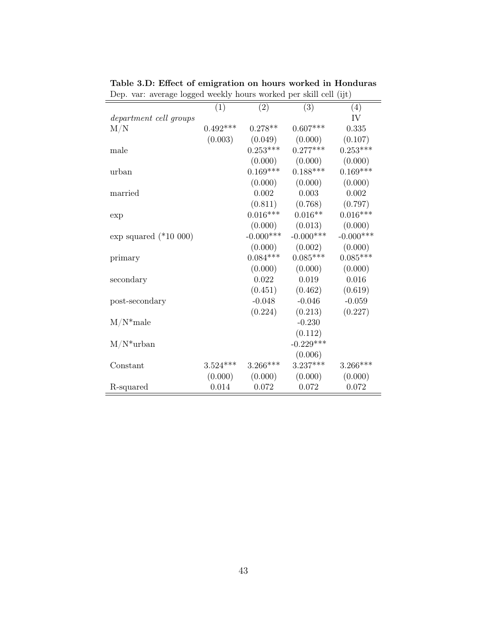|                         | (1)        | (2)          | (3)          | (4)         |
|-------------------------|------------|--------------|--------------|-------------|
| department cell groups  |            |              |              | IV          |
| $\rm M/N$               | $0.492***$ | $0.278**$    | $0.607***$   | 0.335       |
|                         | (0.003)    | (0.049)      | (0.000)      | (0.107)     |
| male                    |            | $0.253***$   | $0.277***$   | $0.253***$  |
|                         |            | (0.000)      | (0.000)      | (0.000)     |
| urban                   |            | $0.169***$   | $0.188***$   | $0.169***$  |
|                         |            | (0.000)      | (0.000)      | (0.000)     |
| married                 |            | 0.002        | 0.003        | 0.002       |
|                         |            | (0.811)      | (0.768)      | (0.797)     |
| exp                     |            | $0.016***$   | $0.016**$    | $0.016***$  |
|                         |            | (0.000)      | (0.013)      | (0.000)     |
| exp squared $(*10 000)$ |            | $-0.000$ *** | $-0.000$ *** | $-0.000***$ |
|                         |            | (0.000)      | (0.002)      | (0.000)     |
| primary                 |            | $0.084***$   | $0.085***$   | $0.085***$  |
|                         |            | (0.000)      | (0.000)      | (0.000)     |
| secondary               |            | 0.022        | 0.019        | 0.016       |
|                         |            | (0.451)      | (0.462)      | (0.619)     |
| post-secondary          |            | $-0.048$     | $-0.046$     | $-0.059$    |
|                         |            | (0.224)      | (0.213)      | (0.227)     |
| $M/N^*$ male            |            |              | $-0.230$     |             |
|                         |            |              | (0.112)      |             |
| $M/N^*$ urban           |            |              | $-0.229***$  |             |
|                         |            |              | (0.006)      |             |
| Constant                | $3.524***$ | $3.266***$   | $3.237***$   | $3.266***$  |
|                         | (0.000)    | (0.000)      | (0.000)      | (0.000)     |
| R-squared               | 0.014      | 0.072        | 0.072        | 0.072       |

Table 3.D: Effect of emigration on hours worked in Honduras Dep. var: average logged weekly hours worked per skill cell (ijt)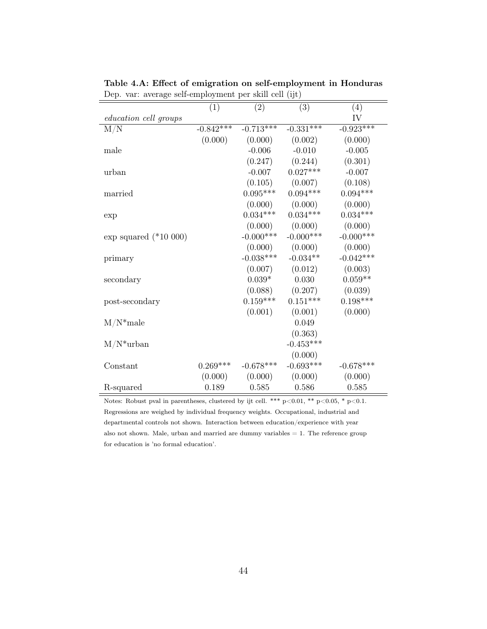| $\frac{1}{2}$                | (1)         | (2)             | (3)          | (4)         |
|------------------------------|-------------|-----------------|--------------|-------------|
| <i>education cell groups</i> |             |                 |              | IV          |
| M/N                          | $-0.842***$ | $-0.713***$     | $-0.331***$  | $-0.923***$ |
|                              | (0.000)     | (0.000)         | (0.002)      | (0.000)     |
| male                         |             | $-0.006$        | $-0.010$     | $-0.005$    |
|                              |             | (0.247)         | (0.244)      | (0.301)     |
| urban                        |             | $-0.007$        | $0.027***$   | $-0.007$    |
|                              |             | (0.105)         | (0.007)      | (0.108)     |
| married                      |             | $0.095***$      | $0.094***$   | $0.094***$  |
|                              |             | (0.000)         | (0.000)      | (0.000)     |
| exp                          |             | $0.034^{***}\;$ | $0.034***$   | $0.034***$  |
|                              |             | (0.000)         | (0.000)      | (0.000)     |
| $\exp$ squared (*10 000)     |             | $-0.000***$     | $-0.000$ *** | $-0.000***$ |
|                              |             | (0.000)         | (0.000)      | (0.000)     |
| primary                      |             | $-0.038***$     | $-0.034**$   | $-0.042***$ |
|                              |             | (0.007)         | (0.012)      | (0.003)     |
| secondary                    |             | $0.039*$        | 0.030        | $0.059**$   |
|                              |             | (0.088)         | (0.207)      | (0.039)     |
| post-secondary               |             | $0.159***$      | $0.151***$   | $0.198***$  |
|                              |             | (0.001)         | (0.001)      | (0.000)     |
| $M/N^*$ male                 |             |                 | 0.049        |             |
|                              |             |                 | (0.363)      |             |
| $M/N^*$ urban                |             |                 | $-0.453***$  |             |
|                              |             |                 | (0.000)      |             |
| Constant                     | $0.269***$  | $-0.678***$     | $-0.693***$  | $-0.678***$ |
|                              | (0.000)     | (0.000)         | (0.000)      | (0.000)     |
| R-squared                    | 0.189       | 0.585           | 0.586        | 0.585       |

Table 4.A: Effect of emigration on self-employment in Honduras Dep. var: average self-employment per skill cell (ijt)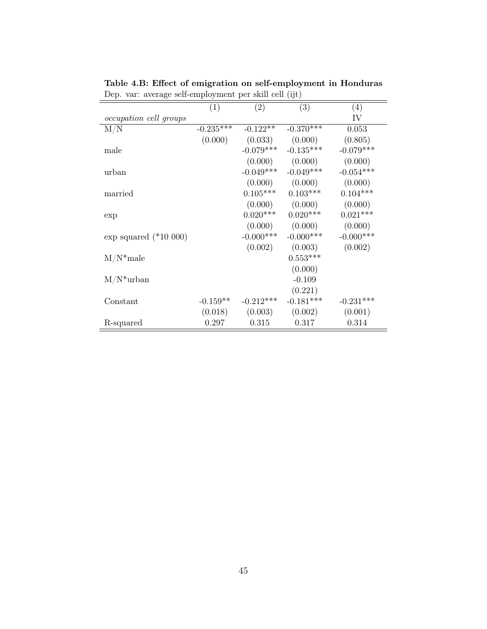|                               | (1)         | (2)         | (3)          | (4)          |
|-------------------------------|-------------|-------------|--------------|--------------|
| <i>occupation cell groups</i> |             |             |              | IV           |
| M/N                           | $-0.235***$ | $-0.122**$  | $-0.370***$  | 0.053        |
|                               | (0.000)     | (0.033)     | (0.000)      | (0.805)      |
| male                          |             | $-0.079***$ | $-0.135***$  | $-0.079***$  |
|                               |             | (0.000)     | (0.000)      | (0.000)      |
| urban                         |             | $-0.049***$ | $-0.049***$  | $-0.054***$  |
|                               |             | (0.000)     | (0.000)      | (0.000)      |
| married                       |             | $0.105***$  | $0.103***$   | $0.104***$   |
|                               |             | (0.000)     | (0.000)      | (0.000)      |
| exp                           |             | $0.020***$  | $0.020***$   | $0.021***$   |
|                               |             | (0.000)     | (0.000)      | (0.000)      |
| exp squared $(*10 000)$       |             | $-0.000***$ | $-0.000$ *** | $-0.000$ *** |
|                               |             | (0.002)     | (0.003)      | (0.002)      |
| $M/N^*$ male                  |             |             | $0.553***$   |              |
|                               |             |             | (0.000)      |              |
| $M/N^*$ urban                 |             |             | $-0.109$     |              |
|                               |             |             | (0.221)      |              |
| Constant                      | $-0.159**$  | $-0.212***$ | $-0.181***$  | $-0.231***$  |
|                               | (0.018)     | (0.003)     | (0.002)      | (0.001)      |
| R-squared                     | 0.297       | 0.315       | 0.317        | 0.314        |

Table 4.B: Effect of emigration on self-employment in Honduras Dep. var: average self-employment per skill cell (ijt)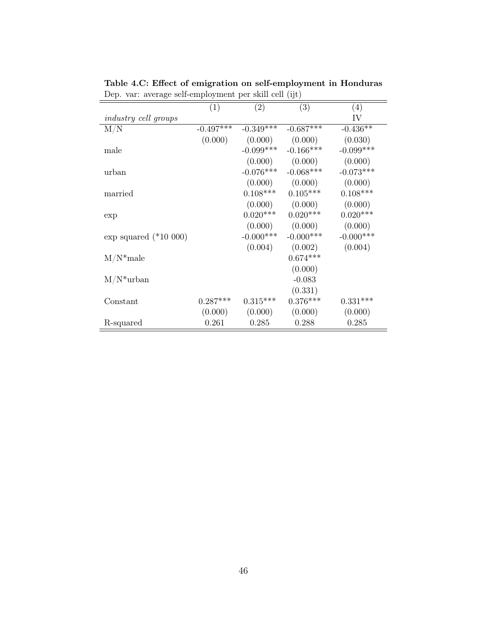|                             | (1)         | (2)         | (3)                 | (4)          |
|-----------------------------|-------------|-------------|---------------------|--------------|
| <i>industry cell groups</i> |             |             |                     | IV           |
| M/N                         | $-0.497***$ | $-0.349***$ | $-0.687***$         | $-0.436**$   |
|                             | (0.000)     | (0.000)     | (0.000)             | (0.030)      |
| male                        |             | $-0.099***$ | $-0.166***$         | $-0.099***$  |
|                             |             | (0.000)     | (0.000)             | (0.000)      |
| urban                       |             | $-0.076***$ | $-0.068***$         | $-0.073***$  |
|                             |             |             | $(0.000)$ $(0.000)$ | (0.000)      |
| married                     |             | $0.108***$  | $0.105***$          | $0.108***$   |
|                             |             |             | $(0.000)$ $(0.000)$ | (0.000)      |
| exp                         |             | $0.020***$  | $0.020***$          | $0.020***$   |
|                             |             |             | $(0.000)$ $(0.000)$ | (0.000)      |
| $\exp$ squared (*10 000)    |             | $-0.000***$ | $-0.000$ ***        | $-0.000$ *** |
|                             |             | (0.004)     | (0.002)             | (0.004)      |
| $M/N^*$ male                |             |             | $0.674***$          |              |
|                             |             |             | (0.000)             |              |
| $M/N^*$ urban               |             |             | $-0.083$            |              |
|                             |             |             | (0.331)             |              |
| Constant                    | $0.287***$  | $0.315***$  | $0.376***$          | $0.331***$   |
|                             | (0.000)     | (0.000)     | (0.000)             | (0.000)      |
| R-squared                   | 0.261       | 0.285       | 0.288               | 0.285        |

Table 4.C: Effect of emigration on self-employment in Honduras Dep. var: average self-employment per skill cell (ijt)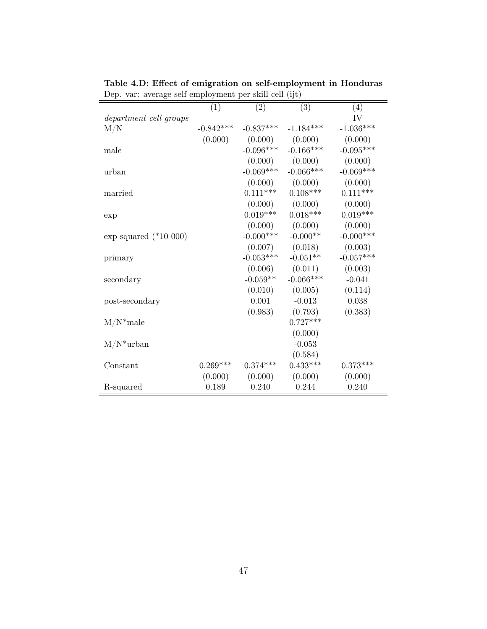| $\sim$ p. var. average sen employment per sum cen $\mu$ ( |             |              |             |             |
|-----------------------------------------------------------|-------------|--------------|-------------|-------------|
|                                                           | (1)         | (2)          | (3)         | (4)         |
| department cell groups                                    |             |              |             | IV          |
| M/N                                                       | $-0.842***$ | $-0.837***$  | $-1.184***$ | $-1.036***$ |
|                                                           | (0.000)     | (0.000)      | (0.000)     | (0.000)     |
| male                                                      |             | $-0.096***$  | $-0.166***$ | $-0.095***$ |
|                                                           |             | (0.000)      | (0.000)     | (0.000)     |
| urban                                                     |             | $-0.069***$  | $-0.066***$ | $-0.069***$ |
|                                                           |             | (0.000)      | (0.000)     | (0.000)     |
| married                                                   |             | $0.111***$   | $0.108***$  | $0.111***$  |
|                                                           |             | (0.000)      | (0.000)     | (0.000)     |
| exp                                                       |             | $0.019***$   | $0.018***$  | $0.019***$  |
|                                                           |             | (0.000)      | (0.000)     | (0.000)     |
| exp squared $(*10 000)$                                   |             | $-0.000$ *** | $-0.000**$  | $-0.000***$ |
|                                                           |             | (0.007)      | (0.018)     | (0.003)     |
| primary                                                   |             | $-0.053***$  | $-0.051**$  | $-0.057***$ |
|                                                           |             | (0.006)      | (0.011)     | (0.003)     |
| secondary                                                 |             | $-0.059**$   | $-0.066***$ | $-0.041$    |
|                                                           |             | (0.010)      | (0.005)     | (0.114)     |
| post-secondary                                            |             | 0.001        | $-0.013$    | $0.038\,$   |
|                                                           |             | (0.983)      | (0.793)     | (0.383)     |
| $M/N^*$ male                                              |             |              | $0.727***$  |             |
|                                                           |             |              | (0.000)     |             |
| $M/N^*$ urban                                             |             |              | $-0.053$    |             |
|                                                           |             |              | (0.584)     |             |
| Constant                                                  | $0.269***$  | $0.374***$   | $0.433***$  | $0.373***$  |
|                                                           | (0.000)     | (0.000)      | (0.000)     | (0.000)     |
| R-squared                                                 | 0.189       | 0.240        | 0.244       | 0.240       |
|                                                           |             |              |             |             |

Table 4.D: Effect of emigration on self-employment in Honduras Dep. var: average self-employment per skill cell (ijt)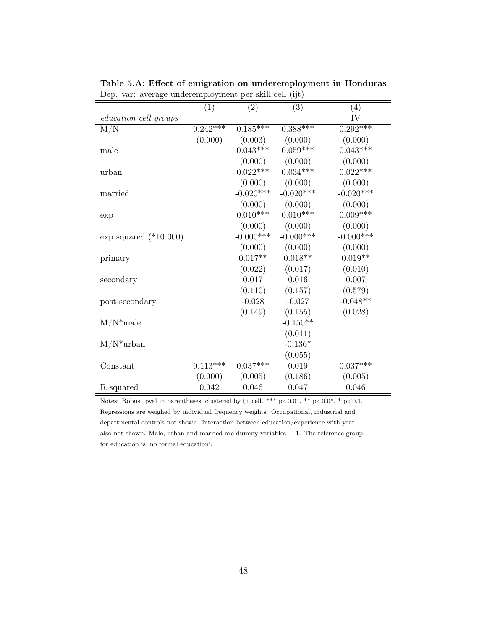| $Dep. var. avstage underempty from per semi cell (1j\nu)$ | (1)         | (2)          | (3)          | (4)         |
|-----------------------------------------------------------|-------------|--------------|--------------|-------------|
|                                                           |             |              |              | IV          |
| <i>education cell groups</i>                              | $0.242$ *** | $0.185***$   | $0.388***$   | $0.292***$  |
| M/N                                                       |             |              |              |             |
|                                                           | (0.000)     | (0.003)      | (0.000)      | (0.000)     |
| male                                                      |             | $0.043***$   | $0.059***$   | $0.043***$  |
|                                                           |             | (0.000)      | (0.000)      | (0.000)     |
| urban                                                     |             | $0.022***$   | $0.034***$   | $0.022***$  |
|                                                           |             | (0.000)      | (0.000)      | (0.000)     |
| married                                                   |             | $-0.020***$  | $-0.020***$  | $-0.020***$ |
|                                                           |             | (0.000)      | (0.000)      | (0.000)     |
| exp                                                       |             | $0.010***$   | $0.010***$   | $0.009***$  |
|                                                           |             | (0.000)      | (0.000)      | (0.000)     |
| $\exp$ squared (*10 $000)$                                |             | $-0.000$ *** | $-0.000$ *** | $-0.000***$ |
|                                                           |             | (0.000)      | (0.000)      | (0.000)     |
| primary                                                   |             | $0.017**$    | $0.018**$    | $0.019**$   |
|                                                           |             | (0.022)      | (0.017)      | (0.010)     |
| secondary                                                 |             | 0.017        | 0.016        | 0.007       |
|                                                           |             | (0.110)      | (0.157)      | (0.579)     |
| post-secondary                                            |             | $-0.028$     | $-0.027$     | $-0.048**$  |
|                                                           |             | (0.149)      | (0.155)      | (0.028)     |
| $M/N^*$ male                                              |             |              | $-0.150**$   |             |
|                                                           |             |              | (0.011)      |             |
| $M/N^*$ urban                                             |             |              | $-0.136*$    |             |
|                                                           |             |              | (0.055)      |             |
| Constant                                                  | $0.113***$  | $0.037***$   | 0.019        | $0.037***$  |
|                                                           | (0.000)     | (0.005)      | (0.186)      | (0.005)     |
| R-squared                                                 | 0.042       | 0.046        | 0.047        | 0.046       |

Table 5.A: Effect of emigration on underemployment in Honduras Dep. var: average underemployment per skill cell (ijt)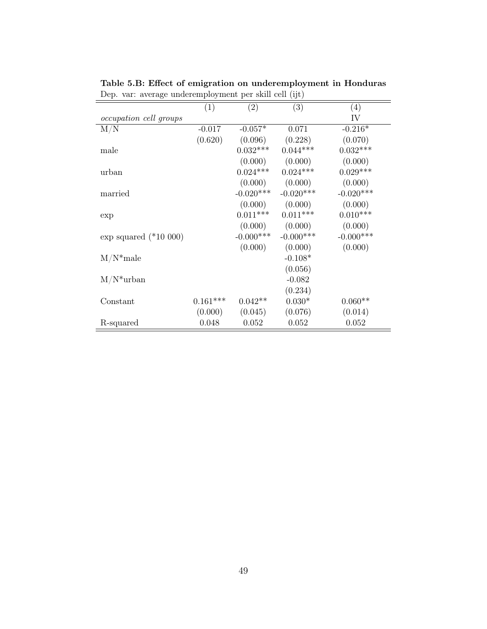|                               | (1)        | $\left( 2\right)$ | (3)          | (4)          |
|-------------------------------|------------|-------------------|--------------|--------------|
| <i>occupation cell groups</i> |            |                   |              | IV           |
| M/N                           | $-0.017$   | $-0.057*$         | 0.071        | $-0.216*$    |
|                               | (0.620)    | (0.096)           | (0.228)      | (0.070)      |
| male                          |            | $0.032***$        | $0.044***$   | $0.032***$   |
|                               |            | (0.000)           | (0.000)      | (0.000)      |
| urban                         |            | $0.024***$        | $0.024***$   | $0.029***$   |
|                               |            | (0.000)           | (0.000)      | (0.000)      |
| married                       |            | $-0.020***$       | $-0.020***$  | $-0.020***$  |
|                               |            | (0.000)           | (0.000)      | (0.000)      |
| exp                           |            | $0.011***$        | $0.011***$   | $0.010***$   |
|                               |            | (0.000)           | (0.000)      | (0.000)      |
| exp squared $(*10 000)$       |            | $-0.000***$       | $-0.000$ *** | $-0.000$ *** |
|                               |            | (0.000)           | (0.000)      | (0.000)      |
| $M/N^*$ male                  |            |                   | $-0.108*$    |              |
|                               |            |                   | (0.056)      |              |
| $M/N^*$ urban                 |            |                   | $-0.082$     |              |
|                               |            |                   | (0.234)      |              |
| Constant                      | $0.161***$ | $0.042**$         | $0.030*$     | $0.060**$    |
|                               | (0.000)    | (0.045)           | (0.076)      | (0.014)      |
| R-squared                     | 0.048      | 0.052             | 0.052        | 0.052        |

Table 5.B: Effect of emigration on underemployment in Honduras Dep. var: average underemployment per skill cell (ijt)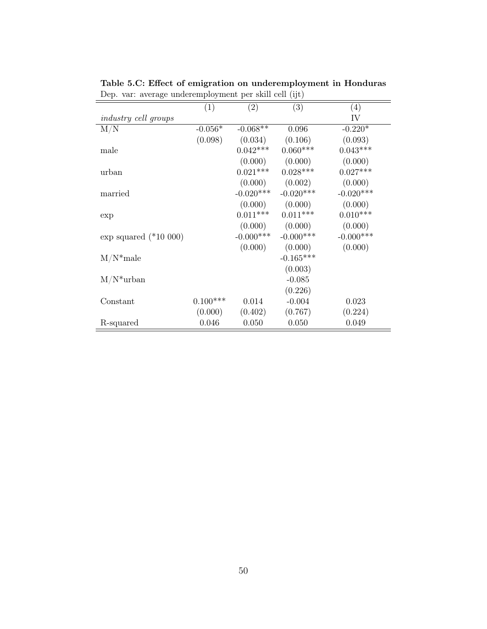|                             | (1)        | $\left( 2\right)$ | (3)          | (4)          |
|-----------------------------|------------|-------------------|--------------|--------------|
| <i>industry cell groups</i> |            |                   |              | IV           |
| M/N                         | $-0.056*$  | $-0.068**$        | 0.096        | $-0.220*$    |
|                             | (0.098)    | (0.034)           | (0.106)      | (0.093)      |
| male                        |            | $0.042***$        | $0.060***$   | $0.043***$   |
|                             |            | (0.000)           | (0.000)      | (0.000)      |
| urban                       |            | $0.021***$        | $0.028***$   | $0.027***$   |
|                             |            | (0.000)           | (0.002)      | (0.000)      |
| married                     |            | $-0.020***$       | $-0.020***$  | $-0.020***$  |
|                             |            | (0.000)           | (0.000)      | (0.000)      |
| exp                         |            | $0.011***$        | $0.011***$   | $0.010***$   |
|                             |            | (0.000)           | (0.000)      | (0.000)      |
| exp squared $(*10 000)$     |            | $-0.000***$       | $-0.000$ *** | $-0.000$ *** |
|                             |            | (0.000)           | (0.000)      | (0.000)      |
| $M/N^*$ male                |            |                   | $-0.165***$  |              |
|                             |            |                   | (0.003)      |              |
| $M/N^*$ urban               |            |                   | $-0.085$     |              |
|                             |            |                   | (0.226)      |              |
| Constant                    | $0.100***$ | 0.014             | $-0.004$     | 0.023        |
|                             | (0.000)    | (0.402)           | (0.767)      | (0.224)      |
| R-squared                   | 0.046      | 0.050             | 0.050        | 0.049        |

Table 5.C: Effect of emigration on underemployment in Honduras Dep. var: average underemployment per skill cell (ijt)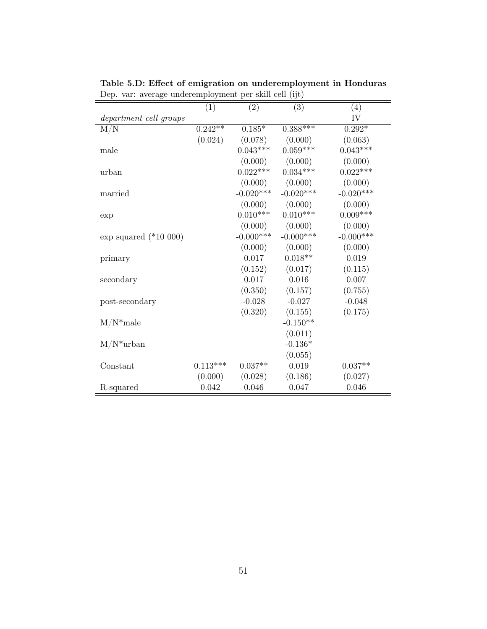|                         | (1)        | (2)          | (3)         | $\left(4\right)$ |
|-------------------------|------------|--------------|-------------|------------------|
| department cell groups  |            |              |             | IV               |
| $\rm M/N$               | $0.242**$  | $0.185*$     | $0.388***$  | $0.292*$         |
|                         | (0.024)    | (0.078)      | (0.000)     | (0.063)          |
| male                    |            | $0.043***$   | $0.059***$  | $0.043***$       |
|                         |            | (0.000)      | (0.000)     | (0.000)          |
| urban                   |            | $0.022***$   | $0.034***$  | $0.022***$       |
|                         |            | (0.000)      | (0.000)     | (0.000)          |
| married                 |            | $-0.020***$  | $-0.020***$ | $-0.020***$      |
|                         |            | (0.000)      | (0.000)     | (0.000)          |
| exp                     |            | $0.010***$   | $0.010***$  | $0.009***$       |
|                         |            | (0.000)      | (0.000)     | (0.000)          |
| exp squared $(*10 000)$ |            | $-0.000$ *** | $-0.000***$ | $-0.000***$      |
|                         |            | (0.000)      | (0.000)     | (0.000)          |
| primary                 |            | 0.017        | $0.018**$   | 0.019            |
|                         |            | (0.152)      | (0.017)     | (0.115)          |
| secondary               |            | 0.017        | 0.016       | 0.007            |
|                         |            | (0.350)      | (0.157)     | (0.755)          |
| post-secondary          |            | $-0.028$     | $-0.027$    | $-0.048$         |
|                         |            | (0.320)      | (0.155)     | (0.175)          |
| $M/N^*$ male            |            |              | $-0.150**$  |                  |
|                         |            |              | (0.011)     |                  |
| $M/N^*$ urban           |            |              | $-0.136*$   |                  |
|                         |            |              | (0.055)     |                  |
| Constant                | $0.113***$ | $0.037**$    | 0.019       | $0.037**$        |
|                         | (0.000)    | (0.028)      | (0.186)     | (0.027)          |
| R-squared               | 0.042      | 0.046        | 0.047       | 0.046            |

Table 5.D: Effect of emigration on underemployment in Honduras Dep. var: average underemployment per skill cell (ijt)